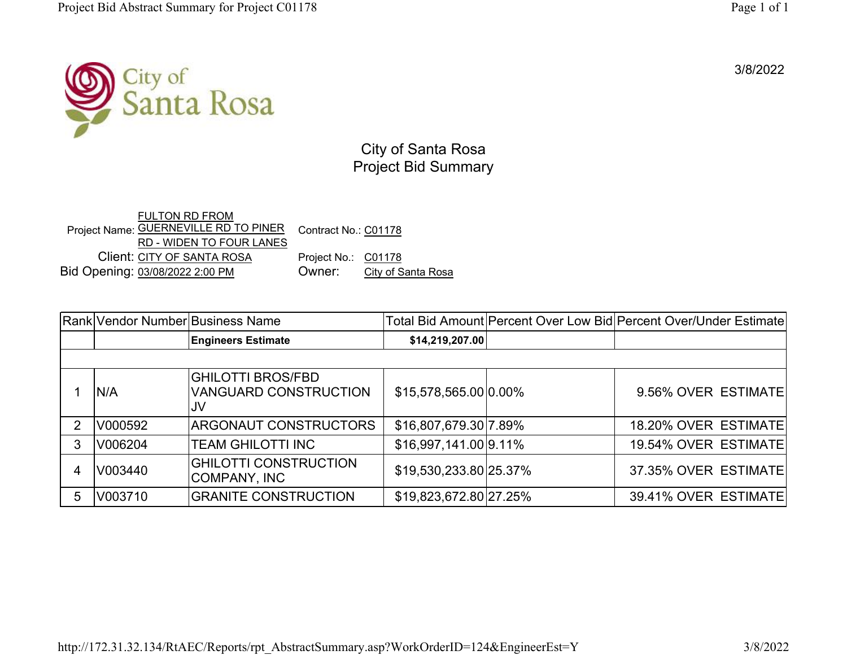3/8/2022



City of Santa Rosa Project Bid Summary

Project Name: <u>GUERNEVILLE RD TO PINER</u> FULTON RD FROM RD - WIDEN TO FOUR LANES Contract No.: C01178 Client: CITY OF SANTA ROSAProject No.: C01178<br>Owner: City of S Bid Opening: 03/08/2022 2:00 PM Owner: City of Santa Rosa

|    |         | Rank Vendor Number Business Name                               |                        | Total Bid Amount Percent Over Low Bid Percent Over/Under Estimate |
|----|---------|----------------------------------------------------------------|------------------------|-------------------------------------------------------------------|
|    |         | <b>Engineers Estimate</b>                                      | \$14,219,207.00        |                                                                   |
|    |         |                                                                |                        |                                                                   |
|    | IN/A    | <b>GHILOTTI BROS/FBD</b><br><b>VANGUARD CONSTRUCTION</b><br>JV | \$15,578,565.00 0.00%  | 9.56% OVER ESTIMATE                                               |
|    | V000592 | <b>ARGONAUT CONSTRUCTORS</b>                                   | \$16,807,679.30 7.89%  | 18.20% OVER ESTIMATE                                              |
|    | V006204 | <b>TEAM GHILOTTI INC</b>                                       | \$16,997,141.00 9.11%  | 19.54% OVER ESTIMATE                                              |
|    | V003440 | <b>GHILOTTI CONSTRUCTION</b><br>COMPANY, INC                   | \$19,530,233.80 25.37% | 37.35% OVER ESTIMATE                                              |
| 5. | V003710 | <b>GRANITE CONSTRUCTION</b>                                    | \$19,823,672.80 27.25% | 39.41% OVER ESTIMATE                                              |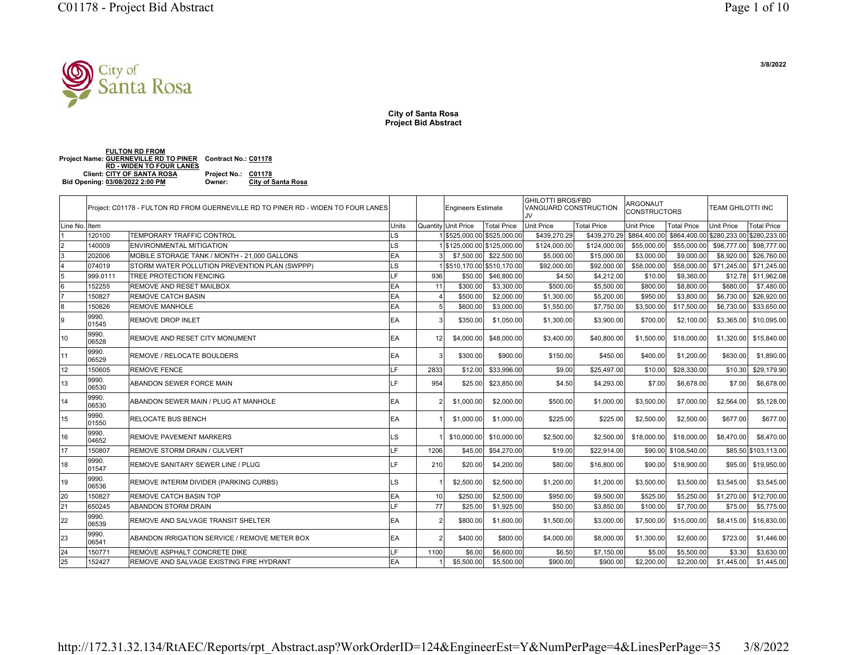

**City of Santa Rosa Project Bid Abstract**

**Project Name: GUERNEVILLE RD TO PINER Contract No.: C01178 FULTON RD FROM RD - WIDEN TO FOUR LANES Client: CITY OF SANTA ROSA Project No.: C01178 Bid Opening: 03/08/2022 2:00 PM Owner: City of Santa Rosa**

24 150771 REMOVE ASPHALT CONCRETE DIKE **LE 1100** 

25 152427 REMOVE AND SALVAGE EXISTING FIRE HYDRANT

|               |                | Project: C01178 - FULTON RD FROM GUERNEVILLE RD TO PINER RD - WIDEN TO FOUR LANES |           |               | <b>Engineers Estimate</b> |                           | <b>GHILOTTI BROS/FBD</b><br><b>VANGUARD CONSTRUCTION</b><br>JV. |                    | ARGONAUT<br><b>CONSTRUCTORS</b> |                      | <b>TEAM GHILOTTI INC</b>               |                      |
|---------------|----------------|-----------------------------------------------------------------------------------|-----------|---------------|---------------------------|---------------------------|-----------------------------------------------------------------|--------------------|---------------------------------|----------------------|----------------------------------------|----------------------|
| Line No. Item |                |                                                                                   | Units     |               | Quantity Unit Price       | Total Price               | <b>Unit Price</b>                                               | <b>Total Price</b> | Unit Price                      | Total Price          | <b>Unit Price</b>                      | Total Price          |
|               | 120100         | <b>TEMPORARY TRAFFIC CONTROL</b>                                                  | LS        |               |                           | 15525,000.00 \$525,000.00 | \$439,270.29                                                    |                    | \$439,270,29 \$864,400,00       |                      | \$864,400.00 \$280,233.00 \$280,233.00 |                      |
|               | 140009         | ENVIRONMENTAL MITIGATION                                                          | LS        |               |                           | \$125,000.00 \$125,000.00 | \$124,000.00                                                    | \$124,000.00       | \$55,000.00                     | \$55,000.00          | \$98,777.00                            | \$98,777.00          |
|               | 202006         | MOBILE STORAGE TANK / MONTH - 21.000 GALLONS                                      | EA        |               | \$7,500,00                | \$22,500.00               | \$5,000.00                                                      | \$15,000.00        | \$3,000.00                      | \$9,000,00           | \$8,920.00                             | \$26,760.00          |
|               | 074019         | STORM WATER POLLUTION PREVENTION PLAN (SWPPP)                                     | LS        |               |                           | \$510,170.00 \$510,170.00 | \$92,000.00                                                     | \$92,000.00        | \$58,000.00                     | \$58,000.00          | \$71,245.00                            | \$71,245.00          |
| 15            | 999.011        | <b>TREE PROTECTION FENCING</b>                                                    | F.        | 936           | \$50.00                   | \$46,800.00               | \$4.50                                                          | \$4,212.00         | \$10.00                         | \$9,360.00           | \$12.78                                | \$11,962.08          |
| 16            | 152255         | REMOVE AND RESET MAILBOX                                                          | EA        | 11            | \$300.00                  | \$3,300.00                | \$500.00                                                        | \$5,500.00         | \$800.00                        | \$8,800.00           | \$680.00                               | \$7,480.00           |
|               | 150827         | REMOVE CATCH BASIN                                                                | EA        |               | \$500.00                  | \$2,000.00                | \$1,300.00                                                      | \$5,200.00         | \$950.00                        | \$3,800.00           | \$6,730.00                             | \$26,920,00          |
| l8            | 150826         | <b>REMOVE MANHOLE</b>                                                             | EA        | 5             | \$600.00                  | \$3,000.00                | \$1,550.00                                                      | \$7,750.00         | \$3,500.00                      | \$17,500.00          | \$6,730.00                             | \$33,650.00          |
|               | 9990.<br>01545 | <b>REMOVE DROP INLET</b>                                                          | <b>EA</b> |               | \$350.00                  | \$1,050.00                | \$1,300.00                                                      | \$3,900.00         | \$700.00                        | \$2,100.00           | \$3,365.00                             | \$10,095.00          |
| 10            | 9990.<br>06528 | REMOVE AND RESET CITY MONUMENT                                                    | <b>EA</b> | 12            | \$4,000.00                | \$48,000.00               | \$3,400.00                                                      | \$40,800.00        | \$1,500.00                      | \$18,000.00          | \$1,320.00                             | \$15,840.00          |
| 11            | 9990.<br>06529 | <b>REMOVE / RELOCATE BOULDERS</b>                                                 | <b>EA</b> | $\mathcal{R}$ | \$300.00                  | \$900.00                  | \$150.00                                                        | \$450.00           | \$400.00                        | \$1,200.00           | \$630.00                               | \$1,890.00           |
| 12            | 150605         | <b>REMOVE FENCE</b>                                                               | H.F.      | 2833          | \$12.00                   | \$33,996.00               | \$9.00                                                          | \$25,497.00        | \$10.00                         | \$28,330.00          | \$10.30                                | \$29,179.90          |
| 13            | 9990.<br>06530 | <b>ABANDON SEWER FORCE MAIN</b>                                                   | LF.       | 954           | \$25.00                   | \$23,850.00               | \$4.50                                                          | \$4,293.00         | \$7.00                          | \$6,678.00           | \$7.00                                 | \$6,678.00           |
| 14            | 9990<br>06530  | ABANDON SEWER MAIN / PLUG AT MANHOLE                                              | <b>EA</b> |               | \$1,000.00                | \$2,000.00                | \$500.00                                                        | \$1,000.00         | \$3,500.00                      | \$7,000.00           | \$2,564.00                             | \$5,128,00           |
| 15            | 9990.<br>01550 | <b>RELOCATE BUS BENCH</b>                                                         | <b>EA</b> |               | \$1,000.00                | \$1,000.00                | \$225.00                                                        | \$225.00           | \$2,500.00                      | \$2,500.00           | \$677.00                               | \$677.00             |
| 16            | 9990.<br>04652 | <b>REMOVE PAVEMENT MARKERS</b>                                                    | LS        |               | \$10,000.00               | \$10,000.00               | \$2,500.00                                                      | \$2,500.00         | \$18,000.00                     | \$18,000.00          | \$8,470.00                             | \$8,470.00           |
| 17            | 150807         | <b>REMOVE STORM DRAIN / CULVERT</b>                                               | LE.       | 1206          | \$45.00                   | \$54,270.00               | \$19.00                                                         | \$22,914.00        |                                 | \$90.00 \$108,540.00 |                                        | \$85.50 \$103,113.00 |
| 18            | 9990.<br>01547 | REMOVE SANITARY SEWER LINE / PLUG                                                 | LF.       | 210           | \$20.00                   | \$4,200.00                | \$80.00                                                         | \$16,800.00        | \$90,00                         | \$18,900.00          | \$95.00                                | \$19,950.00          |
| 19            | 9990.<br>06536 | REMOVE INTERIM DIVIDER (PARKING CURBS)                                            | LS        |               | \$2,500.00                | \$2,500.00                | \$1,200.00                                                      | \$1,200.00         | \$3,500.00                      | \$3,500.00           | \$3,545.00                             | \$3,545.00           |
| l20           | 150827         | <b>REMOVE CATCH BASIN TOP</b>                                                     | EA        | 10            | \$250.00                  | \$2,500.00                | \$950.00                                                        | \$9,500.00         | \$525.00                        | \$5,250.00           | \$1,270.00                             | \$12,700.00          |
| 21            | 650245         | <b>ABANDON STORM DRAIN</b>                                                        | F.        | 77            | \$25.00                   | \$1,925.00                | \$50.00                                                         | \$3,850.00         | \$100.00                        | \$7,700.00           | \$75.00                                | \$5,775.00           |
| 22            | 9990.<br>06539 | REMOVE AND SALVAGE TRANSIT SHELTER                                                | <b>EA</b> | $\mathcal{P}$ | \$800.00                  | \$1,600.00                | \$1,500.00                                                      | \$3,000.00         | \$7,500.00                      | \$15,000.00          | \$8,415.00                             | \$16,830.00          |
| 23            | 9990.<br>06541 | ABANDON IRRIGATION SERVICE / REMOVE METER BOX                                     | <b>EA</b> |               | \$400.00                  | \$800.00                  | \$4,000.00                                                      | \$8,000.00         | \$1,300.00                      | \$2,600.00           | \$723.00                               | \$1,446.00           |

http://172.31.32.134/RtAEC/Reports/rpt\_Abstract.asp?WorkOrderID=124&EngineerEst=Y&NumPerPage=4&LinesPerPage=35 3/8/2022

0 \$6.00 \$6,600.00 \$6.50 \$7,150.00 \$5.00 \$5,500.00 \$3.30 \$3,630.00

\$5,500.00 \$5,500.00 \$900.00 \$900.00 \$2,200.00 \$2,200.00 \$1,445.00 \$1,445.00

 **3/8/2022**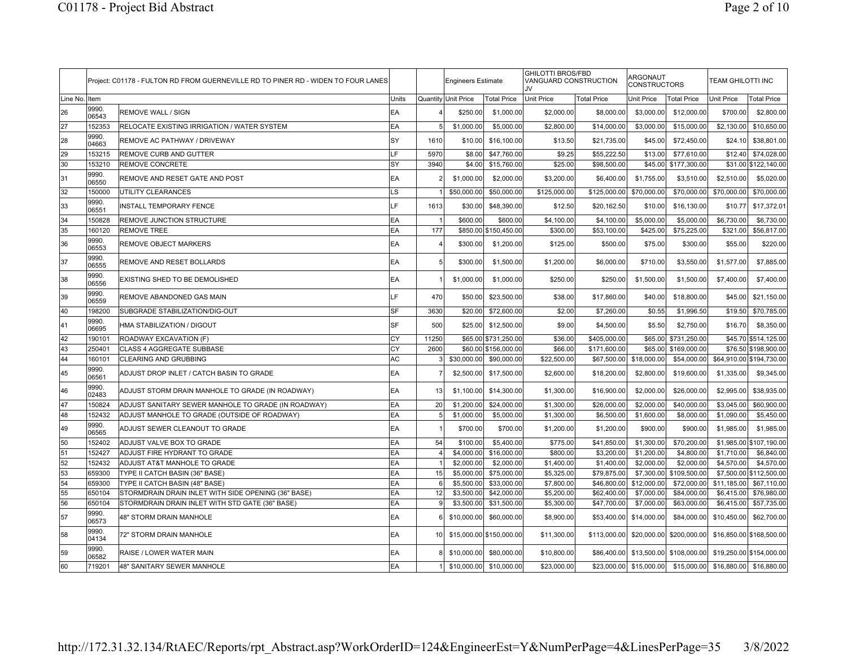|          |                | Project: C01178 - FULTON RD FROM GUERNEVILLE RD TO PINER RD - WIDEN TO FOUR LANES |       |              | <b>Engineers Estimate</b> |                          | <b>GHILOTTI BROS/FBD</b><br>VANGUARD CONSTRUCTION<br>.IV |              | ARGONAUT<br><b>CONSTRUCTORS</b> |                    | <b>TEAM GHILOTTI INC</b> |                          |
|----------|----------------|-----------------------------------------------------------------------------------|-------|--------------|---------------------------|--------------------------|----------------------------------------------------------|--------------|---------------------------------|--------------------|--------------------------|--------------------------|
| Line No. | Item           |                                                                                   | Units |              | Quantity Unit Price       | Total Price              | <b>Unit Price</b>                                        | Total Price  | Unit Price                      | <b>Total Price</b> | <b>Unit Price</b>        | <b>Total Price</b>       |
| 26       | 9990.<br>06543 | <b>REMOVE WALL / SIGN</b>                                                         | EA    |              | \$250.00                  | \$1,000.00               | \$2,000.00                                               | \$8,000.00   | \$3,000.00                      | \$12,000.00        | \$700.00                 | \$2,800.00               |
| 27       | 152353         | <b>RELOCATE EXISTING IRRIGATION / WATER SYSTEM</b>                                | EA    | 5            | \$1,000.00                | \$5,000.00               | \$2,800.00                                               | \$14,000.00  | \$3,000.00                      | \$15,000.00        | \$2,130.00               | \$10,650.00              |
| 28       | 9990.<br>04663 | REMOVE AC PATHWAY / DRIVEWAY                                                      | SY    | 1610         | \$10.00                   | \$16,100.00              | \$13.50                                                  | \$21,735.00  | \$45.00                         | \$72,450.00        | \$24.10                  | \$38,801.00              |
| 29       | 153215         | REMOVE CURB AND GUTTER                                                            | LF    | 5970         | \$8.00                    | \$47,760.00              | \$9.25                                                   | \$55,222.50  | \$13.00                         | \$77,610.00        | \$12.40                  | \$74,028.00              |
| 30       | 153210         | <b>REMOVE CONCRETE</b>                                                            | SY    | 3940         | \$4.00                    | \$15,760.00              | \$25.00                                                  | \$98,500.00  | \$45.00                         | \$177,300.00       |                          | \$31.00 \$122,140.00     |
| 31       | 9990.<br>06550 | REMOVE AND RESET GATE AND POST                                                    | EA    |              | \$1,000.00                | \$2,000.00               | \$3,200.00                                               | \$6,400.00   | \$1,755.00                      | \$3,510.00         | \$2,510.00               | \$5,020.00               |
| 32       | 150000         | UTILITY CLEARANCES                                                                | LS    |              | \$50,000.00               | \$50,000.00              | \$125,000.00                                             | \$125,000.00 | \$70,000.00                     | \$70,000.00        | \$70,000.00              | \$70,000.00              |
| 33       | 9990.<br>06551 | <b>INSTALL TEMPORARY FENCE</b>                                                    | LF    | 1613         | \$30.00                   | \$48,390.00              | \$12.50                                                  | \$20,162.50  | \$10.00                         | \$16,130.00        | \$10.77                  | \$17,372.01              |
| 34       | 150828         | REMOVE JUNCTION STRUCTURE                                                         | EA    |              | \$600.00                  | \$600.00                 | \$4,100.00                                               | \$4,100.00   | \$5,000.00                      | \$5,000.00         | \$6,730.00               | \$6,730.00               |
| 35       | 160120         | <b>REMOVE TREE</b>                                                                | EA    | 177          |                           | \$850.00 \$150,450.00    | \$300.00                                                 | \$53,100.00  | \$425.00                        | \$75,225.00        | \$321.00                 | \$56,817.00              |
| 36       | 9990.<br>06553 | REMOVE OBJECT MARKERS                                                             | EA    |              | \$300.00                  | \$1,200.00               | \$125.00                                                 | \$500.00     | \$75.00                         | \$300.00           | \$55.00                  | \$220.00                 |
| 37       | 9990.<br>06555 | REMOVE AND RESET BOLLARDS                                                         | EA    | 5            | \$300.00                  | \$1,500.00               | \$1,200.00                                               | \$6,000.00   | \$710.00                        | \$3,550.00         | \$1,577.00               | \$7,885.00               |
| 38       | 9990.<br>06556 | EXISTING SHED TO BE DEMOLISHED                                                    | EA    |              | \$1,000.00                | \$1,000.00               | \$250.00                                                 | \$250.00     | \$1,500.00                      | \$1,500.00         | \$7,400.00               | \$7,400.00               |
| 39       | 9990.<br>06559 | REMOVE ABANDONED GAS MAIN                                                         | LF    | 470          | \$50.00                   | \$23,500.00              | \$38.00                                                  | \$17,860.00  | \$40.00                         | \$18,800.00        | \$45.00                  | \$21,150.00              |
| 40       | 198200         | SUBGRADE STABILIZATION/DIG-OUT                                                    | SF    | 3630         | \$20.00                   | \$72,600.00              | \$2.00                                                   | \$7,260.00   | \$0.55                          | \$1,996.50         | \$19.50                  | \$70,785.00              |
| 41       | 9990.<br>06695 | HMA STABILIZATION / DIGOUT                                                        | SF    | 500          | \$25.00                   | \$12,500.00              | \$9.00                                                   | \$4,500.00   | \$5.50                          | \$2,750.00         | \$16.70                  | \$8,350.00               |
| 42       | 190101         | ROADWAY EXCAVATION (F)                                                            | CY    | 11250        | \$65.00                   | \$731,250.00             | \$36.00                                                  | \$405,000.00 | \$65.00                         | \$731,250.00       |                          | \$45.70 \$514,125.00     |
| 43       | 250401         | CLASS 4 AGGREGATE SUBBASE                                                         | СY    | 2600         |                           | \$60.00 \$156,000.00     | \$66.00                                                  | \$171,600.00 | \$65.00                         | \$169,000.00       |                          | \$76.50 \$198,900.00     |
| 44       | 160101         | <b>CLEARING AND GRUBBING</b>                                                      | AC    |              | \$30,000.00               | \$90,000.00              | \$22,500.00                                              | \$67,500.00  | \$18,000.00                     | \$54,000.00        |                          | \$64,910.00 \$194,730.00 |
| 45       | 9990.<br>06561 | ADJUST DROP INLET / CATCH BASIN TO GRADE                                          | EA    |              | \$2,500.00                | \$17,500.00              | \$2,600.00                                               | \$18,200.00  | \$2,800.00                      | \$19,600.00        | \$1,335.00               | \$9,345.00               |
| 46       | 9990.<br>02483 | ADJUST STORM DRAIN MANHOLE TO GRADE (IN ROADWAY)                                  | EA    | 13           | \$1,100.00                | \$14,300.00              | \$1,300.00                                               | \$16,900.00  | \$2,000.00                      | \$26,000.00        | \$2,995.00               | \$38,935.00              |
| 47       | 150824         | ADJUST SANITARY SEWER MANHOLE TO GRADE (IN ROADWAY)                               | EA    | 20           | \$1,200.00                | \$24,000.00              | \$1,300.00                                               | \$26,000.00  | \$2,000.00                      | \$40,000.00        | \$3,045.00               | \$60,900.00              |
| 48       | 152432         | ADJUST MANHOLE TO GRADE (OUTSIDE OF ROADWAY)                                      | EA    | 5            | \$1,000.00                | \$5,000.00               | \$1,300.00                                               | \$6,500.00   | \$1,600.00                      | \$8,000.00         | \$1,090.00               | \$5,450.00               |
| 49       | 9990.<br>06565 | ADJUST SEWER CLEANOUT TO GRADE                                                    | EA    |              | \$700.00                  | \$700.00                 | \$1,200.00                                               | \$1,200.00   | \$900.00                        | \$900.00           | \$1,985.00               | \$1,985.00               |
| 50       | 152402         | ADJUST VALVE BOX TO GRADE                                                         | EA    | 54           | \$100.00                  | \$5,400.00               | \$775.00                                                 | \$41,850.00  | \$1,300.00                      | \$70,200.00        |                          | \$1,985.00 \$107,190.00  |
| 51       | 152427         | ADJUST FIRE HYDRANT TO GRADE                                                      | EA    |              | \$4,000.00                | \$16,000.00              | \$800.00                                                 | \$3,200.00   | \$1,200.00                      | \$4,800.00         | \$1,710.00               | \$6,840.00               |
| 52       | 152432         | ADJUST AT&T MANHOLE TO GRADE                                                      | EA    |              | \$2,000.00                | \$2,000.00               | \$1,400.00                                               | \$1,400.00   | \$2,000.00                      | \$2,000.00         | \$4,570.00               | \$4,570.00               |
| 53       | 659300         | TYPE II CATCH BASIN (36" BASE)                                                    | EA    | 15           | \$5,000.00                | \$75,000.00              | \$5,325.00                                               | \$79,875.00  | \$7,300.00                      | \$109,500.00       |                          | \$7,500.00 \$112,500.00  |
| 54       | 659300         | TYPE II CATCH BASIN (48" BASE)                                                    | EA    | 6            | \$5,500.00                | \$33,000.00              | \$7,800.00                                               | \$46,800.00  | \$12,000.00                     | \$72,000.00        | \$11,185.00              | \$67,110.00              |
| 55       | 650104         | STORMDRAIN DRAIN INLET WITH SIDE OPENING (36" BASE)                               | EA    | 12           | \$3,500.00                | \$42,000.00              | \$5,200.00                                               | \$62,400.00  | \$7,000.00                      | \$84,000.00        | \$6,415.00               | \$76,980.00              |
| 56       | 650104         | STORMDRAIN DRAIN INLET WITH STD GATE (36" BASE)                                   | EA    | $\mathbf{Q}$ | \$3,500.00                | \$31,500.00              | \$5,300.00                                               | \$47,700.00  | \$7,000.00                      | \$63,000.00        | \$6,415.00               | \$57,735.00              |
| 57       | 9990.<br>06573 | 48" STORM DRAIN MANHOLE                                                           | EA    |              | \$10,000.00               | \$60,000.00              | \$8,900.00                                               | \$53,400.00  | \$14,000.00                     | \$84,000.00        | \$10,450.00              | \$62,700.00              |
| 58       | 9990.<br>04134 | 72" STORM DRAIN MANHOLE                                                           | EA    | 10           |                           | \$15,000.00 \$150,000.00 | \$11,300.00                                              | \$113,000.00 | \$20,000.00                     | \$200,000.00       |                          | \$16,850.00 \$168,500.00 |
| 59       | 9990.<br>06582 | RAISE / LOWER WATER MAIN                                                          | EA    |              | \$10,000.00               | \$80,000.00              | \$10,800.00                                              | \$86,400.00  | \$13,500.00                     | \$108,000.00       |                          | \$19,250.00 \$154,000.00 |
| 60       | 719201         | 48" SANITARY SEWER MANHOLE                                                        | EA    |              | \$10,000.00               | \$10,000.00              | \$23,000.00                                              | \$23,000.00  | \$15,000.00                     |                    | \$15,000.00 \$16,880.00  | \$16,880.00              |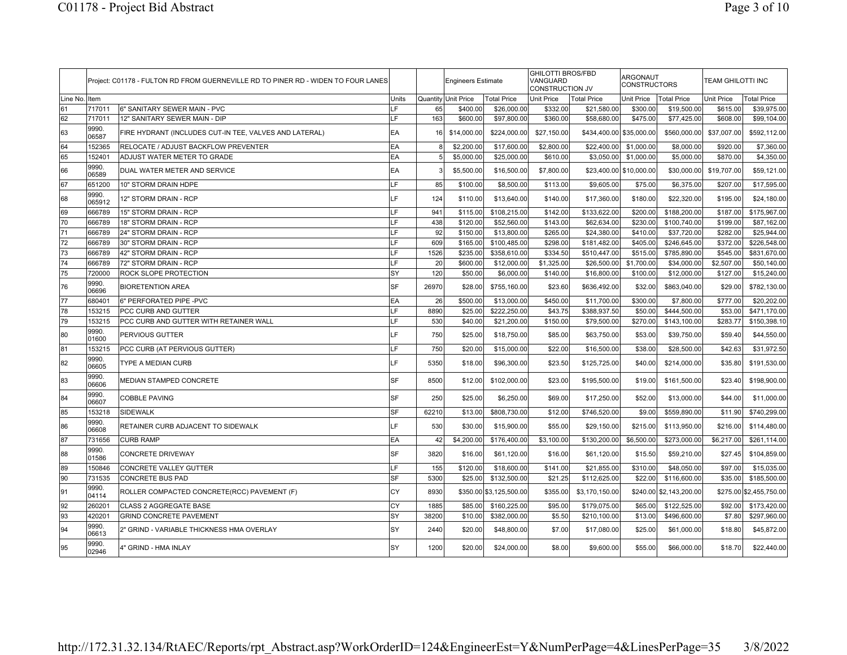|          |                 | Project: C01178 - FULTON RD FROM GUERNEVILLE RD TO PINER RD - WIDEN TO FOUR LANES |           |       | <b>Engineers Estimate</b> |                         | <b>GHILOTTI BROS/FBD</b><br>VANGUARD<br>CONSTRUCTION JV |                    | ARGONAUT<br><b>CONSTRUCTORS</b> |                         | <b>TEAM GHILOTTI INC</b> |                         |
|----------|-----------------|-----------------------------------------------------------------------------------|-----------|-------|---------------------------|-------------------------|---------------------------------------------------------|--------------------|---------------------------------|-------------------------|--------------------------|-------------------------|
| Line No. | Item            |                                                                                   | Units     |       | Quantity Unit Price       | <b>Total Price</b>      | <b>Unit Price</b>                                       | <b>Total Price</b> | Unit Price                      | <b>Total Price</b>      | Unit Price               | <b>Total Price</b>      |
| 61       | 717011          | 6" SANITARY SEWER MAIN - PVC                                                      | LF        | 65    | \$400.00                  | \$26,000.00             | \$332.00                                                | \$21,580.00        | \$300.00                        | \$19,500.00             | \$615.00                 | \$39,975.00             |
| 62       | 717011          | 12" SANITARY SEWER MAIN - DIP                                                     | LF        | 163   | \$600.00                  | \$97,800.00             | \$360.00                                                | \$58,680.00        | \$475.00                        | \$77,425.00             | \$608.00                 | \$99,104.00             |
| 63       | 9990.<br>06587  | FIRE HYDRANT (INCLUDES CUT-IN TEE, VALVES AND LATERAL)                            | EA        | 16    | \$14,000.00               | \$224,000.00            | \$27,150.00                                             |                    | \$434,400.00 \$35,000.00        | \$560,000.00            | \$37,007.00              | \$592,112.00            |
| 64       | 152365          | RELOCATE / ADJUST BACKFLOW PREVENTER                                              | EA        |       | \$2,200.00                | \$17,600.00             | \$2,800.00                                              | \$22,400.00        | \$1,000.00                      | \$8,000.00              | \$920.00                 | \$7,360.00              |
| 65       | 152401          | ADJUST WATER METER TO GRADE                                                       | EA        | 5     | \$5,000.00                | \$25,000.00             | \$610.00                                                | \$3,050.00         | \$1,000.00                      | \$5,000.00              | \$870.00                 | \$4,350.00              |
| 66       | 9990.<br>06589  | DUAL WATER METER AND SERVICE                                                      | EA        |       | \$5,500.00                | \$16,500.00             | \$7,800.00                                              |                    | \$23,400.00 \$10,000.00         | \$30,000.00             | \$19,707.00              | \$59,121.00             |
| 67       | 651200          | 10" STORM DRAIN HDPE                                                              | LF        | 85    | \$100.00                  | \$8,500.00              | \$113.00                                                | \$9,605.00         | \$75.00                         | \$6,375.00              | \$207.00                 | \$17,595.00             |
| 68       | 9990.<br>065912 | 12" STORM DRAIN - RCP                                                             | LF        | 124   | \$110.00                  | \$13,640.00             | \$140.00                                                | \$17,360.00        | \$180.00                        | \$22,320.00             | \$195.00                 | \$24,180.00             |
| 69       | 666789          | 15" STORM DRAIN - RCP                                                             | LF        | 941   | \$115.00                  | \$108,215.00            | \$142.00                                                | \$133,622.00       | \$200.00                        | \$188,200.00            | \$187.00                 | \$175,967.00            |
| 70       | 666789          | 18" STORM DRAIN - RCP                                                             | LF        | 438   | \$120.00                  | \$52,560.00             | \$143.00                                                | \$62,634.00        | \$230.00                        | \$100,740.00            | \$199.00                 | \$87,162.00             |
| 71       | 666789          | 24" STORM DRAIN - RCP                                                             | LF        | 92    | \$150.00                  | \$13,800.00             | \$265.00                                                | \$24,380.00        | \$410.00                        | \$37,720.00             | \$282.00                 | \$25,944.00             |
| 72       | 666789          | 30" STORM DRAIN - RCP                                                             | LF        | 609   | \$165.00                  | \$100,485.00            | \$298.00                                                | \$181,482.00       | \$405.00                        | \$246,645.00            | \$372.00                 | \$226,548.00            |
| 73       | 666789          | 42" STORM DRAIN - RCP                                                             | LF        | 1526  | \$235.00                  | \$358,610.00            | \$334.50                                                | \$510,447.00       | \$515.00                        | \$785,890.00            | \$545.00                 | \$831,670.00            |
| 74       | 666789          | 72" STORM DRAIN - RCP                                                             | LF        | 20    | \$600.00                  | \$12,000.00             | \$1,325.00                                              | \$26,500.00        | \$1,700.00                      | \$34,000.00             | \$2,507.00               | \$50,140.00             |
| 75       | 720000          | ROCK SLOPE PROTECTION                                                             | SY        | 120   | \$50.00                   | \$6,000.00              | \$140.00                                                | \$16,800.00        | \$100.00                        | \$12,000.00             | \$127.00                 | \$15,240.00             |
| 76       | 9990.<br>06696  | <b>BIORETENTION AREA</b>                                                          | <b>SF</b> | 26970 | \$28.00                   | \$755,160.00            | \$23.60                                                 | \$636,492.00       | \$32.00                         | \$863,040.00            | \$29.00                  | \$782,130.00            |
| 77       | 680401          | 6" PERFORATED PIPE - PVC                                                          | EA        | 26    | \$500.00                  | \$13,000.00             | \$450.00                                                | \$11,700.00        | \$300.00                        | \$7,800.00              | \$777.00                 | \$20,202.00             |
| 78       | 153215          | PCC CURB AND GUTTER                                                               | LF        | 8890  | \$25.00                   | \$222,250.00            | \$43.75                                                 | \$388,937.50       | \$50.00                         | \$444,500.00            | \$53.00                  | \$471,170.00            |
| 79       | 153215          | PCC CURB AND GUTTER WITH RETAINER WALL                                            | LF        | 530   | \$40.00                   | \$21,200.00             | \$150.00                                                | \$79,500.00        | \$270.00                        | \$143,100.00            | \$283.77                 | \$150,398.10            |
| 80       | 9990.<br>01600  | PERVIOUS GUTTER                                                                   | LF        | 750   | \$25.00                   | \$18,750.00             | \$85.00                                                 | \$63,750.00        | \$53.00                         | \$39,750.00             | \$59.40                  | \$44,550.00             |
| 81       | 153215          | PCC CURB (AT PERVIOUS GUTTER)                                                     | LF        | 750   | \$20.00                   | \$15,000.00             | \$22.00                                                 | \$16,500.00        | \$38.00                         | \$28,500.00             | \$42.63                  | \$31,972.50             |
| 82       | 9990.<br>06605  | TYPE A MEDIAN CURB                                                                | LF        | 5350  | \$18.00                   | \$96,300.00             | \$23.50                                                 | \$125,725.00       | \$40.00                         | \$214,000.00            | \$35.80                  | \$191,530.00            |
| 83       | 9990.<br>06606  | MEDIAN STAMPED CONCRETE                                                           | <b>SF</b> | 8500  | \$12.00                   | \$102,000.00            | \$23.00                                                 | \$195,500.00       | \$19.00                         | \$161,500.00            | \$23.40                  | \$198,900.00            |
| 84       | 9990.<br>06607  | <b>COBBLE PAVING</b>                                                              | <b>SF</b> | 250   | \$25.00                   | \$6,250.00              | \$69.00                                                 | \$17,250.00        | \$52.00                         | \$13,000.00             | \$44.00                  | \$11,000.00             |
| 85       | 153218          | SIDEWALK                                                                          | SF        | 62210 | \$13.00                   | \$808,730.00            | \$12.00                                                 | \$746,520.00       | \$9.00                          | \$559,890.00            | \$11.90                  | \$740,299.00            |
| 86       | 9990.<br>06608  | RETAINER CURB ADJACENT TO SIDEWALK                                                | LF        | 530   | \$30.00                   | \$15,900.00             | \$55.00                                                 | \$29,150.00        | \$215.00                        | \$113,950.00            | \$216.00                 | \$114,480.00            |
| 87       | 731656          | <b>CURB RAMP</b>                                                                  | EA        | 42    | \$4,200.00                | \$176,400.00            | \$3,100.00                                              | \$130,200.00       | \$6,500.00                      | \$273,000.00            | \$6,217.00               | \$261,114.00            |
| 88       | 9990.<br>01586  | <b>CONCRETE DRIVEWAY</b>                                                          | SF        | 3820  | \$16.00                   | \$61,120.00             | \$16.00                                                 | \$61,120.00        | \$15.50                         | \$59,210.00             | \$27.45                  | \$104,859.00            |
| 89       | 150846          | CONCRETE VALLEY GUTTER                                                            | LF        | 155   | \$120.00                  | \$18,600.00             | \$141.00                                                | \$21,855.00        | \$310.00                        | \$48,050.00             | \$97.00                  | \$15,035.00             |
| 90       | 731535          | <b>CONCRETE BUS PAD</b>                                                           | SF        | 5300  | \$25.00                   | \$132,500.00            | \$21.25                                                 | \$112,625.00       | \$22.00                         | \$116,600.00            | \$35.00                  | \$185,500.00            |
| 91       | 9990.<br>04114  | ROLLER COMPACTED CONCRETE(RCC) PAVEMENT (F)                                       | CY        | 8930  |                           | \$350.00 \$3,125,500.00 | \$355.00                                                | \$3,170,150.00     |                                 | \$240.00 \$2,143,200.00 |                          | \$275.00 \$2,455,750.00 |
| 92       | 260201          | <b>CLASS 2 AGGREGATE BASE</b>                                                     | CY        | 1885  | \$85.00                   | \$160,225.00            | \$95.00                                                 | \$179,075.00       | \$65.00                         | \$122,525.00            | \$92.00                  | \$173,420.00            |
| 93       | 420201          | <b>GRIND CONCRETE PAVEMENT</b>                                                    | SY        | 38200 | \$10.00                   | \$382,000.00            | \$5.50                                                  | \$210,100.00       | \$13.00                         | \$496,600.00            | \$7.80                   | \$297,960.00            |
| 94       | 9990.<br>06613  | 2" GRIND - VARIABLE THICKNESS HMA OVERLAY                                         | SY        | 2440  | \$20.00                   | \$48,800.00             | \$7.00                                                  | \$17,080.00        | \$25.00                         | \$61,000.00             | \$18.80                  | \$45,872.00             |
| 95       | 9990.<br>02946  | 4" GRIND - HMA INLAY                                                              | SY        | 1200  | \$20.00                   | \$24,000.00             | \$8.00                                                  | \$9,600.00         | \$55.00                         | \$66,000.00             | \$18.70                  | \$22,440.00             |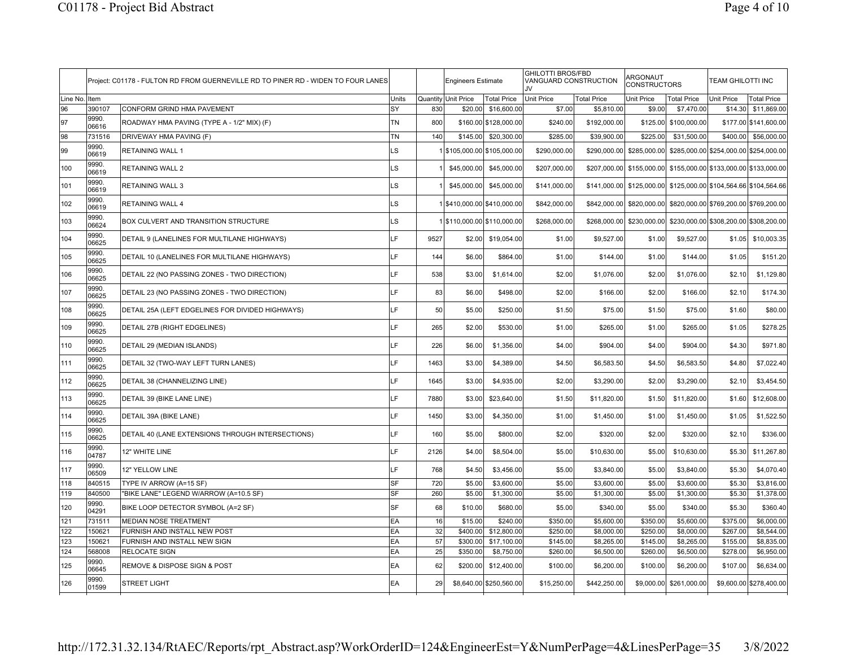|          |                 | Project: C01178 - FULTON RD FROM GUERNEVILLE RD TO PINER RD - WIDEN TO FOUR LANES |           |      | <b>Engineers Estimate</b>   |                           | <b>GHILOTTI BROS/FBD</b><br>VANGUARD CONSTRUCTION<br>.IV |                    | ARGONAUT<br><b>CONSTRUCTORS</b> |                                                                  | <b>TEAM GHILOTTI INC</b>               |                         |
|----------|-----------------|-----------------------------------------------------------------------------------|-----------|------|-----------------------------|---------------------------|----------------------------------------------------------|--------------------|---------------------------------|------------------------------------------------------------------|----------------------------------------|-------------------------|
| Line No. | Item            |                                                                                   | Units     |      | Quantity Unit Price         | Total Price               | Unit Price                                               | <b>Total Price</b> | Unit Price                      | <b>Total Price</b>                                               | <b>Unit Price</b>                      | <b>Total Price</b>      |
| 96       | 390107          | CONFORM GRIND HMA PAVEMENT                                                        | SY        | 830  | \$20.00                     | \$16,600.00               | \$7.00                                                   | \$5,810.00         | \$9.00                          | \$7,470.00                                                       | \$14.30                                | \$11,869.00             |
| 97       | 9990.<br>06616  | ROADWAY HMA PAVING (TYPE A - 1/2" MIX) (F)                                        | <b>TN</b> | 800  |                             | \$160.00 \$128,000.00     | \$240.00                                                 | \$192,000.00       | \$125.00                        | \$100,000.00                                                     | \$177.00                               | \$141,600.00            |
| 98       | 731516          | DRIVEWAY HMA PAVING (F)                                                           | <b>TN</b> | 140  | \$145,00                    | \$20,300.00               | \$285.00                                                 | \$39,900.00        | \$225.00                        | \$31,500.00                                                      | \$400.00                               | \$56,000.00             |
| 99       | 9990.<br>06619  | <b>RETAINING WALL 1</b>                                                           | LS        |      |                             | \$105,000.00 \$105,000.00 | \$290,000.00                                             | \$290,000.00       | \$285,000.00                    |                                                                  | \$285,000.00 \$254,000.00              | \$254,000.00            |
| 100      | 9990.<br>06619  | <b>RETAINING WALL 2</b>                                                           | LS        |      | \$45,000.00                 | \$45,000.00               | \$207,000.00                                             |                    |                                 | \$207,000.00 \$155,000.00 \$155,000.00 \$133,000.00 \$133,000.00 |                                        |                         |
| 101      | 9990.<br>06619  | <b>RETAINING WALL 3</b>                                                           | LS        |      | \$45,000.00                 | \$45,000.00               | \$141,000.00                                             |                    | \$141,000.00 \$125,000.00       | \$125,000.00 \$104,564.66 \$104,564.66                           |                                        |                         |
| 102      | 9990.<br>06619  | <b>RETAINING WALL 4</b>                                                           | LS        |      | 1 \$410,000.00 \$410,000.00 |                           | \$842,000.00                                             |                    | \$842,000.00 \$820,000.00       |                                                                  | \$820,000.00 \$769,200.00 \$769,200.00 |                         |
| 103      | 9990.<br>06624  | BOX CULVERT AND TRANSITION STRUCTURE                                              | LS        |      | 1 \$110,000.00 \$110,000.00 |                           | \$268,000.00                                             |                    | \$268,000.00 \$230,000.00       |                                                                  | \$230,000.00 \$308,200.00 \$308,200.00 |                         |
| 104      | 9990.<br>06625  | DETAIL 9 (LANELINES FOR MULTILANE HIGHWAYS)                                       | LF        | 9527 | \$2.00                      | \$19,054.00               | \$1.00                                                   | \$9,527.00         | \$1.00                          | \$9,527.00                                                       | \$1.05                                 | \$10,003.35             |
| 105      | 9990.<br>06625  | DETAIL 10 (LANELINES FOR MULTILANE HIGHWAYS)                                      | LF        | 144  | \$6.00                      | \$864.00                  | \$1.00                                                   | \$144.00           | \$1.00                          | \$144.00                                                         | \$1.05                                 | \$151.20                |
| 106      | 9990.<br>06625  | DETAIL 22 (NO PASSING ZONES - TWO DIRECTION)                                      | LF        | 538  | \$3.00                      | \$1,614.00                | \$2.00                                                   | \$1,076.00         | \$2.00                          | \$1,076.00                                                       | \$2.10                                 | \$1,129.80              |
| 107      | 9990.<br>06625  | DETAIL 23 (NO PASSING ZONES - TWO DIRECTION)                                      | LF        | 83   | \$6.00                      | \$498.00                  | \$2.00                                                   | \$166.00           | \$2.00                          | \$166.00                                                         | \$2.10                                 | \$174.30                |
| 108      | 9990.<br>06625  | DETAIL 25A (LEFT EDGELINES FOR DIVIDED HIGHWAYS)                                  | LF        | 50   | \$5.00                      | \$250.00                  | \$1.50                                                   | \$75.00            | \$1.50                          | \$75.00                                                          | \$1.60                                 | \$80.00                 |
| 109      | 9990.<br>06625  | DETAIL 27B (RIGHT EDGELINES)                                                      | LF        | 265  | \$2.00                      | \$530.00                  | \$1.00                                                   | \$265.00           | \$1.00                          | \$265.00                                                         | \$1.05                                 | \$278.25                |
| 110      | 9990.<br>06625  | DETAIL 29 (MEDIAN ISLANDS)                                                        | LF        | 226  | \$6.00                      | \$1,356.00                | \$4.00                                                   | \$904.00           | \$4.00                          | \$904.00                                                         | \$4.30                                 | \$971.80                |
| 111      | 9990.<br>06625  | DETAIL 32 (TWO-WAY LEFT TURN LANES)                                               | LF        | 1463 | \$3.00                      | \$4,389.00                | \$4.50                                                   | \$6,583.50         | \$4.50                          | \$6,583.50                                                       | \$4.80                                 | \$7,022.40              |
| 112      | 9990.<br>06625  | DETAIL 38 (CHANNELIZING LINE)                                                     | LF        | 1645 | \$3.00                      | \$4,935.00                | \$2.00                                                   | \$3,290.00         | \$2.00                          | \$3,290.00                                                       | \$2.10                                 | \$3,454.50              |
| 113      | 9990.<br>06625  | DETAIL 39 (BIKE LANE LINE)                                                        | LF        | 7880 | \$3.00                      | \$23,640.00               | \$1.50                                                   | \$11,820.00        | \$1.50                          | \$11,820.00                                                      | \$1.60                                 | \$12,608.00             |
| 114      | 9990.<br>06625  | DETAIL 39A (BIKE LANE)                                                            | LF        | 1450 | \$3.00                      | \$4,350.00                | \$1.00                                                   | \$1,450.00         | \$1.00                          | \$1,450.00                                                       | \$1.05                                 | \$1,522.50              |
| 115      | 9990.<br>06625  | DETAIL 40 (LANE EXTENSIONS THROUGH INTERSECTIONS)                                 | LF        | 160  | \$5.00                      | \$800.00                  | \$2.00                                                   | \$320.00           | \$2.00                          | \$320.00                                                         | \$2.10                                 | \$336.00                |
| 116      | 9990.<br>04787  | 12" WHITE LINE                                                                    | LF        | 2126 | \$4.00                      | \$8,504.00                | \$5.00                                                   | \$10,630.00        | \$5.00                          | \$10,630.00                                                      | \$5.30                                 | \$11,267.80             |
| 117      | 9990.<br>06509  | 12" YELLOW LINE                                                                   | LF        | 768  | \$4.50                      | \$3,456.00                | \$5.00                                                   | \$3,840.00         | \$5.00                          | \$3,840.00                                                       | \$5.30                                 | \$4,070.40              |
| 118      | 840515          | TYPE IV ARROW (A=15 SF)                                                           | SF        | 720  | \$5.00                      | \$3,600.00                | \$5.00                                                   | \$3,600.00         | \$5.00                          | \$3,600.00                                                       | \$5.30                                 | \$3,816.00              |
| 119      | 840500          | "BIKE LANE" LEGEND W/ARROW (A=10.5 SF)                                            | SF        | 260  | \$5.00                      | \$1,300.00                | \$5.00                                                   | \$1,300.00         | \$5.00                          | \$1,300.00                                                       | \$5.30                                 | \$1,378.00              |
| 120      | 9990.<br>04291  | BIKE LOOP DETECTOR SYMBOL (A=2 SF)                                                | SF        | 68   | \$10.00                     | \$680.00                  | \$5.00                                                   | \$340.00           | \$5.00                          | \$340.00                                                         | \$5.30                                 | \$360.40                |
| 121      | 731511          | <b>MEDIAN NOSE TREATMENT</b>                                                      | EA        | 16   | \$15.00                     | \$240.00                  | \$350.00                                                 | \$5,600.00         | \$350.00                        | \$5,600.00                                                       | \$375.00                               | \$6,000.00              |
| 122      | 150621          | FURNISH AND INSTALL NEW POST                                                      | EA        | 32   | \$400.00                    | \$12,800.00               | \$250.00                                                 | \$8,000.00         | \$250.00                        | \$8,000.00                                                       | \$267.00                               | \$8,544.00              |
| 123      | 150621          | FURNISH AND INSTALL NEW SIGN                                                      | EA        | 57   | \$300.00                    | \$17,100.00               | \$145.00                                                 | \$8,265.00         | \$145.00                        | \$8,265.00                                                       | \$155.00                               | \$8,835.00              |
| 124      | 568008<br>9990. | <b>RELOCATE SIGN</b>                                                              | EA        | 25   | \$350.00                    | \$8,750.00                | \$260.00                                                 | \$6,500.00         | \$260.00                        | \$6,500.00                                                       | \$278.00                               | \$6,950.00              |
| 125      | 06645           | <b>REMOVE &amp; DISPOSE SIGN &amp; POST</b>                                       | EA        | 62   | \$200.00                    | \$12,400.00               | \$100.00                                                 | \$6,200.00         | \$100.00                        | \$6,200.00                                                       | \$107.00                               | \$6,634.00              |
| 126      | 9990.<br>01599  | <b>STREET LIGHT</b>                                                               | EA        | 29   |                             | \$8,640.00 \$250,560.00   | \$15,250.00                                              | \$442,250.00       | \$9,000.00                      | \$261,000.00                                                     |                                        | \$9,600.00 \$278,400.00 |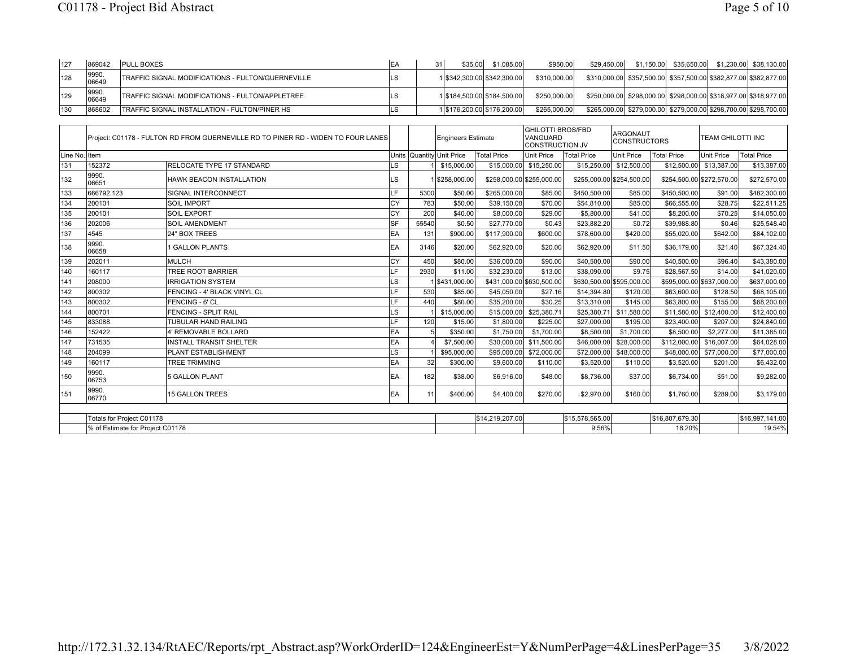| 127 | 869042         | <b>PULL BOXES</b>                                        |    | \$35.00 | \$1.085.00                  | \$950,00     | \$29.450.00                                                      |                                                                  |  | $$1,150.00$ $$35,650.00$ $$1,230.00$ $$38,130.00$ |
|-----|----------------|----------------------------------------------------------|----|---------|-----------------------------|--------------|------------------------------------------------------------------|------------------------------------------------------------------|--|---------------------------------------------------|
| 128 | 9990.<br>06649 | <b>TRAFFIC SIGNAL MODIFICATIONS - FULTON/GUERNEVILLE</b> |    |         | 1 \$342,300,00 \$342,300,00 | \$310,000,00 |                                                                  | \$310,000.00 \$357,500.00 \$357,500.00 \$382,877.00 \$382,877.00 |  |                                                   |
| 129 | 9990.<br>06649 | <b>ITRAFFIC SIGNAL MODIFICATIONS - FULTON/APPLETREE</b>  |    |         | 15184.500.00 \$184.500.00   | \$250,000,00 |                                                                  | \$250,000.00 \$298,000.00 \$298,000.00 \$318,977.00 \$318,977.00 |  |                                                   |
| 130 | 868602         | TRAFFIC SIGNAL INSTALLATION - FULTON/PINER HS            | LS |         | 1 \$176,200.00 \$176,200.00 | \$265,000,00 | \$265,000.00 \$279,000.00 \$279,000.00 \$298,700.00 \$298,700.00 |                                                                  |  |                                                   |

|               |                                  | Project: C01178 - FULTON RD FROM GUERNEVILLE RD TO PINER RD - WIDEN TO FOUR LANES |            |       | Engineers Estimate        |                           | <b>GHILOTTI BROS/FBD</b><br>VANGUARD<br><b>CONSTRUCTION JV</b> |                    | <b>ARGONAUT</b><br><b>CONSTRUCTORS</b> |                           | <b>TEAM GHILOTTI INC</b> |                    |
|---------------|----------------------------------|-----------------------------------------------------------------------------------|------------|-------|---------------------------|---------------------------|----------------------------------------------------------------|--------------------|----------------------------------------|---------------------------|--------------------------|--------------------|
| Line No. Item |                                  |                                                                                   |            |       | Units Quantity Unit Price | Total Price               | <b>Unit Price</b>                                              | <b>Total Price</b> | <b>Unit Price</b>                      | <b>Total Price</b>        | <b>Unit Price</b>        | <b>Total Price</b> |
| 131           | 152372                           | <b>RELOCATE TYPE 17 STANDARD</b>                                                  | LS         |       | \$15,000.00               |                           | \$15,000.00 \$15,250.00                                        |                    | \$15,250.00 \$12,500.00                |                           | \$12,500.00 \$13,387.00  | \$13,387.00        |
| 132           | 9990.<br>06651                   | <b>HAWK BEACON INSTALLATION</b>                                                   | LS         |       | \$258,000.00              | \$258,000.00 \$255,000.00 |                                                                |                    | \$255,000.00 \$254,500.00              | \$254,500.00 \$272,570.00 |                          | \$272,570.00       |
| 133           | 666792.123                       | SIGNAL INTERCONNECT                                                               | LF         | 5300  | \$50.00                   | \$265,000.00              | \$85.00                                                        | \$450,500.00       | \$85.00                                | \$450,500.00              | \$91.00                  | \$482,300.00       |
| 134           | 200101                           | <b>SOIL IMPORT</b>                                                                | CY         | 783   | \$50.00                   | \$39,150.00               | \$70.00                                                        | \$54,810.00        | \$85.00                                | \$66,555.00               | \$28.75                  | \$22,511.25        |
| 135           | 200101                           | <b>SOIL EXPORT</b>                                                                | lcY        | 200   | \$40.00                   | \$8,000.00                | \$29.00                                                        | \$5,800.00         | \$41.00                                | \$8,200.00                | \$70.25                  | \$14,050.00        |
| 136           | 202006                           | <b>SOIL AMENDMENT</b>                                                             | SF         | 55540 | \$0.50                    | \$27,770.00               | \$0.43                                                         | \$23,882.20        | \$0.72                                 | \$39,988.80               | \$0.46                   | \$25,548.40        |
| 137           | 4545                             | 24" BOX TREES                                                                     | EA         | 131   | \$900.00                  | \$117,900.00              | \$600.00                                                       | \$78,600.00        | \$420.00                               | \$55,020.00               | \$642.00                 | \$84,102.00        |
| 138           | 9990.<br>06658                   | 1 GALLON PLANTS                                                                   | <b>IEA</b> | 3146  | \$20.00                   | \$62,920.00               | \$20.00                                                        | \$62,920.00        | \$11.50                                | \$36,179.00               | \$21.40                  | \$67,324.40        |
| 139           | 202011                           | <b>MULCH</b>                                                                      | CY         | 450   | \$80.00                   | \$36,000.00               | \$90.00                                                        | \$40,500.00        | \$90.00                                | \$40,500.00               | \$96.40                  | \$43,380.00        |
| 140           | 160117                           | <b>TREE ROOT BARRIER</b>                                                          | LF         | 2930  | \$11.00                   | \$32,230.00               | \$13.00                                                        | \$38,090.00        | \$9.75                                 | \$28,567.50               | \$14.00                  | \$41,020.00        |
| 141           | 208000                           | <b>IRRIGATION SYSTEM</b>                                                          | LS         |       | 1 \$431,000.00            | \$431,000.00 \$630,500.00 |                                                                |                    | \$630,500.00 \$595,000.00              | \$595,000.00 \$637,000.00 |                          | \$637,000.00       |
| 142           | 800302                           | FENCING - 4' BLACK VINYL CL                                                       | LF         | 530   | \$85.00                   | \$45,050.00               | \$27.16                                                        | \$14,394.80        | \$120.00                               | \$63,600.00               | \$128.50                 | \$68,105.00        |
| 143           | 800302                           | <b>FENCING - 6' CL</b>                                                            | LF         | 440   | \$80.00                   | \$35,200.00               | \$30.25                                                        | \$13,310.00        | \$145.00                               | \$63,800.00               | \$155.00                 | \$68,200.00        |
| 144           | 800701                           | <b>FENCING - SPLIT RAIL</b>                                                       | LS         |       | \$15,000.00               | \$15,000.00               | \$25,380.71                                                    | \$25,380.71        | \$11,580.00                            | \$11,580,00               | \$12,400.00              | \$12,400.00        |
| 145           | 833088                           | <b>TUBULAR HAND RAILING</b>                                                       | LF         | 120   | \$15.00                   | \$1,800.00                | \$225.00                                                       | \$27,000.00        | \$195.00                               | \$23,400.00               | \$207.00                 | \$24,840.00        |
| 146           | 152422                           | 4' REMOVABLE BOLLARD                                                              | EA         |       | \$350.00                  | \$1,750.00                | \$1,700.00                                                     | \$8,500.00         | \$1,700.00                             | \$8,500.00                | \$2,277.00               | \$11,385.00        |
| 147           | 731535                           | <b>INSTALL TRANSIT SHELTER</b>                                                    | EA         |       | \$7,500.00                | \$30,000.00               | \$11,500.00                                                    | \$46,000.00        | \$28,000.00                            | \$112,000.00              | \$16,007.00              | \$64,028.00        |
| 148           | 204099                           | PLANT ESTABLISHMENT                                                               | LS         |       | \$95,000.00               | \$95,000.00               | \$72,000.00                                                    | \$72,000.00        | \$48,000.00                            |                           | \$48,000.00 \$77,000.00  | \$77,000.00        |
| 149           | 160117                           | <b>TREE TRIMMING</b>                                                              | EA         | 32    | \$300.00                  | \$9,600.00                | \$110.00                                                       | \$3,520.00         | \$110.00                               | \$3,520.00                | \$201.00                 | \$6,432.00         |
| 150           | 9990.<br>06753                   | 5 GALLON PLANT                                                                    | <b>IEA</b> | 182   | \$38.00                   | \$6,916.00                | \$48.00                                                        | \$8,736.00         | \$37.00                                | \$6,734.00                | \$51.00                  | \$9,282.00         |
| 151           | 9990.<br>06770                   | <b>15 GALLON TREES</b>                                                            | <b>EA</b>  | 11    | \$400.00                  | \$4,400.00                | \$270.00                                                       | \$2,970.00         | \$160.00                               | \$1,760.00                | \$289.00                 | \$3,179.00         |
|               |                                  |                                                                                   |            |       |                           |                           |                                                                |                    |                                        |                           |                          |                    |
|               | Totals for Project C01178        |                                                                                   |            |       |                           | \$14,219,207.00           |                                                                | \$15,578,565.00    |                                        | \$16,807,679.30           |                          | \$16,997,141.00    |
|               | % of Estimate for Project C01178 |                                                                                   |            |       |                           |                           |                                                                | 9.56%              |                                        | 18.20%                    |                          | 19.54%             |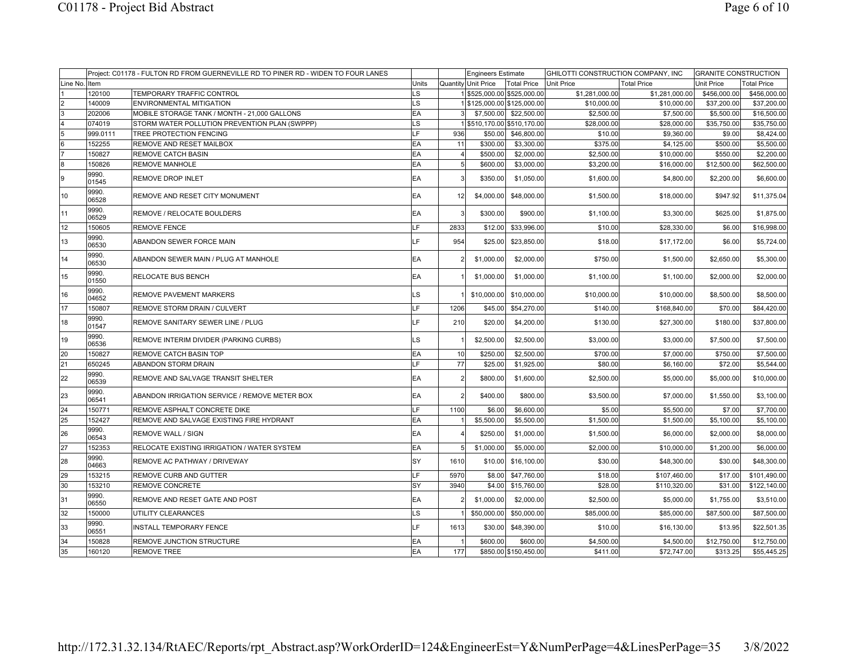|                 |                | Project: C01178 - FULTON RD FROM GUERNEVILLE RD TO PINER RD - WIDEN TO FOUR LANES |       |                | <b>Engineers Estimate</b> |                             | GHILOTTI CONSTRUCTION COMPANY, INC |                    | <b>GRANITE CONSTRUCTION</b> |                    |
|-----------------|----------------|-----------------------------------------------------------------------------------|-------|----------------|---------------------------|-----------------------------|------------------------------------|--------------------|-----------------------------|--------------------|
| Line No.        | Item           |                                                                                   | Units |                | Quantity Unit Price       | Total Price                 | <b>Unit Price</b>                  | <b>Total Price</b> | Unit Price                  | <b>Total Price</b> |
|                 | 120100         | TEMPORARY TRAFFIC CONTROL                                                         | LS    |                |                           | 1 \$525,000.00 \$525,000.00 | \$1,281,000.00                     | \$1,281,000.00     | \$456,000.00                | \$456,000.00       |
| $\overline{2}$  | 140009         | <b>ENVIRONMENTAL MITIGATION</b>                                                   | LS    |                |                           | 1 \$125,000.00 \$125,000.00 | \$10,000.00                        | \$10,000.00        | \$37,200.00                 | \$37,200.00        |
| $\overline{3}$  | 202006         | MOBILE STORAGE TANK / MONTH - 21,000 GALLONS                                      | EA    |                |                           | \$7,500.00 \$22,500.00      | \$2,500.00                         | \$7,500.00         | \$5,500.00                  | \$16,500.00        |
| $\overline{4}$  | 074019         | STORM WATER POLLUTION PREVENTION PLAN (SWPPP)                                     | LS    |                |                           | 15510,170.00 \$510,170.00   | \$28,000.00                        | \$28,000.00        | \$35,750.00                 | \$35,750.00        |
| 5               | 999.0111       | TREE PROTECTION FENCING                                                           | LF    | 936            | \$50.00                   | \$46,800.00                 | \$10.00                            | \$9,360.00         | \$9.00                      | \$8,424.00         |
| $\overline{6}$  | 152255         | REMOVE AND RESET MAILBOX                                                          | EA    | 11             | \$300.00                  | \$3,300.00                  | \$375.00                           | \$4,125.00         | \$500.00                    | \$5,500.00         |
| $\overline{7}$  | 150827         | <b>REMOVE CATCH BASIN</b>                                                         | EA    | $\overline{4}$ | \$500.00                  | \$2,000.00                  | \$2,500.00                         | \$10,000.00        | \$550.00                    | \$2,200.00         |
| $\bf{8}$        | 150826         | <b>REMOVE MANHOLE</b>                                                             | EA    | 5 <sup>1</sup> | \$600.00                  | \$3,000.00                  | \$3,200.00                         | \$16,000.00        | \$12,500.00                 | \$62,500.00        |
| 9               | 9990.<br>01545 | REMOVE DROP INLET                                                                 | EA    |                | \$350.00                  | \$1,050.00                  | \$1,600.00                         | \$4,800.00         | \$2,200.00                  | \$6,600.00         |
| 10              | 9990.<br>06528 | REMOVE AND RESET CITY MONUMENT                                                    | EA    | 12             | \$4,000.00                | \$48,000.00                 | \$1,500.00                         | \$18,000.00        | \$947.92                    | \$11,375.04        |
| 11              | 9990.<br>06529 | REMOVE / RELOCATE BOULDERS                                                        | EA    | 3              | \$300.00                  | \$900.00                    | \$1,100.00                         | \$3,300.00         | \$625.00                    | \$1,875.00         |
| 12              | 150605         | <b>REMOVE FENCE</b>                                                               | LF    | 2833           | \$12.00                   | \$33,996.00                 | \$10.00                            | \$28,330.00        | \$6.00                      | \$16,998.00        |
| 13              | 9990.<br>06530 | ABANDON SEWER FORCE MAIN                                                          | IF.   | 954            | \$25.00                   | \$23,850.00                 | \$18.00                            | \$17,172.00        | \$6.00                      | \$5,724.00         |
| 14              | 9990.<br>06530 | ABANDON SEWER MAIN / PLUG AT MANHOLE                                              | EA    |                | \$1,000.00                | \$2,000.00                  | \$750.00                           | \$1,500.00         | \$2,650.00                  | \$5,300.00         |
| 15              | 9990.<br>01550 | RELOCATE BUS BENCH                                                                | EA    |                | \$1,000.00                | \$1,000.00                  | \$1,100.00                         | \$1,100.00         | \$2,000.00                  | \$2,000.00         |
| 16              | 9990.<br>04652 | REMOVE PAVEMENT MARKERS                                                           | LS    |                | \$10,000.00               | \$10,000.00                 | \$10,000.00                        | \$10,000.00        | \$8,500.00                  | \$8,500.00         |
| 17              | 150807         | REMOVE STORM DRAIN / CULVERT                                                      | LF    | 1206           | \$45.00                   | \$54,270.00                 | \$140.00                           | \$168,840.00       | \$70.00                     | \$84,420.00        |
| 18              | 9990.<br>01547 | REMOVE SANITARY SEWER LINE / PLUG                                                 | LF    | 210            | \$20.00                   | \$4,200.00                  | \$130.00                           | \$27,300.00        | \$180.00                    | \$37,800.00        |
| 19              | 9990.<br>06536 | REMOVE INTERIM DIVIDER (PARKING CURBS)                                            | LS    |                | \$2,500.00                | \$2,500.00                  | \$3,000.00                         | \$3,000.00         | \$7,500.00                  | \$7,500.00         |
| 20              | 150827         | <b>REMOVE CATCH BASIN TOP</b>                                                     | EA    | 10             | \$250.00                  | \$2,500.00                  | \$700.00                           | \$7,000.00         | \$750.00                    | \$7,500.00         |
| $\overline{21}$ | 650245         | ABANDON STORM DRAIN                                                               | LF    | 77             | \$25.00                   | \$1,925.00                  | \$80.00                            | \$6,160.00         | \$72.00                     | \$5,544.00         |
| 22              | 9990.<br>06539 | REMOVE AND SALVAGE TRANSIT SHELTER                                                | EA    | $\mathcal{P}$  | \$800.00                  | \$1,600.00                  | \$2,500.00                         | \$5,000.00         | \$5,000.00                  | \$10,000.00        |
| 23              | 9990.<br>06541 | ABANDON IRRIGATION SERVICE / REMOVE METER BOX                                     | EA    |                | \$400.00                  | \$800.00                    | \$3,500.00                         | \$7,000.00         | \$1,550.00                  | \$3,100.00         |
| 24              | 150771         | REMOVE ASPHALT CONCRETE DIKE                                                      | LF    | 1100           | \$6.00                    | \$6,600.00                  | \$5.00                             | \$5,500.00         | \$7.00                      | \$7,700.00         |
| 25              | 152427         | REMOVE AND SALVAGE EXISTING FIRE HYDRANT                                          | EA    |                | \$5,500.00                | \$5,500.00                  | \$1,500.00                         | \$1,500.00         | \$5,100.00                  | \$5,100.00         |
| 26              | 9990.<br>06543 | <b>REMOVE WALL / SIGN</b>                                                         | EA    |                | \$250.00                  | \$1,000.00                  | \$1,500.00                         | \$6,000.00         | \$2,000.00                  | \$8,000.00         |
| 27              | 152353         | RELOCATE EXISTING IRRIGATION / WATER SYSTEM                                       | EA    | 5 <sub>l</sub> | \$1,000.00                | \$5,000.00                  | \$2,000.00                         | \$10,000.00        | \$1,200.00                  | \$6,000.00         |
| 28              | 9990.<br>04663 | REMOVE AC PATHWAY / DRIVEWAY                                                      | SY    | 1610           | \$10.00                   | \$16,100.00                 | \$30.00                            | \$48,300.00        | \$30.00                     | \$48,300.00        |
| 29              | 153215         | <b>REMOVE CURB AND GUTTER</b>                                                     | LF    | 5970           | \$8.00                    | \$47,760.00                 | \$18.00                            | \$107,460.00       | \$17.00                     | \$101.490.00       |
| 30              | 153210         | <b>REMOVE CONCRETE</b>                                                            | SY    | 3940           | \$4.00                    | \$15,760.00                 | \$28.00                            | \$110,320.00       | \$31.00                     | \$122,140.00       |
| 31              | 9990.<br>06550 | REMOVE AND RESET GATE AND POST                                                    | EA    |                | \$1,000.00                | \$2,000.00                  | \$2,500.00                         | \$5,000.00         | \$1,755.00                  | \$3,510.00         |
| 32              | 150000         | UTILITY CLEARANCES                                                                | LS    |                | \$50,000.00               | \$50,000.00                 | \$85,000.00                        | \$85,000.00        | \$87,500.00                 | \$87,500.00        |
| 33              | 9990.<br>06551 | <b>INSTALL TEMPORARY FENCE</b>                                                    | LF    | 1613           | \$30.00                   | \$48,390.00                 | \$10.00                            | \$16,130.00        | \$13.95                     | \$22,501.35        |
| 34              | 150828         | REMOVE JUNCTION STRUCTURE                                                         | EA    |                | \$600.00                  | \$600.00                    | \$4,500.00                         | \$4,500.00         | \$12,750.00                 | \$12,750.00        |
| 35              | 160120         | <b>REMOVE TREE</b>                                                                | EA    | 177            |                           | \$850.00 \$150,450.00       | \$411.00                           | \$72,747.00        | \$313.25                    | \$55,445.25        |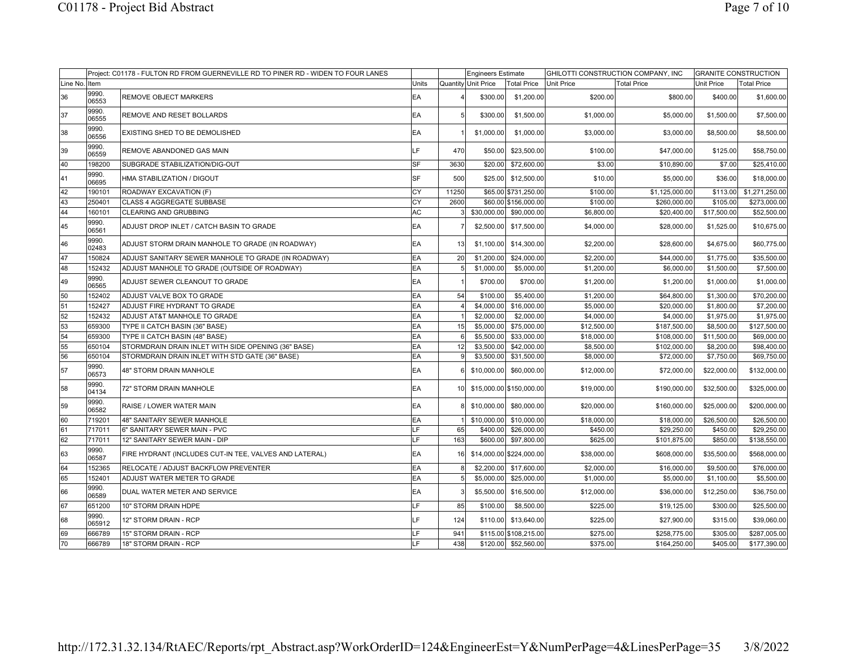|          |                 | Project: C01178 - FULTON RD FROM GUERNEVILLE RD TO PINER RD - WIDEN TO FOUR LANES |            |                 | Engineers Estimate  |                          | GHILOTTI CONSTRUCTION COMPANY, INC |                    | <b>GRANITE CONSTRUCTION</b> |                    |
|----------|-----------------|-----------------------------------------------------------------------------------|------------|-----------------|---------------------|--------------------------|------------------------------------|--------------------|-----------------------------|--------------------|
| Line No. | Item            |                                                                                   | Units      |                 | Quantity Unit Price | <b>Total Price</b>       | <b>Unit Price</b>                  | <b>Total Price</b> | <b>Unit Price</b>           | <b>Total Price</b> |
| 36       | 9990.<br>06553  | <b>REMOVE OBJECT MARKERS</b>                                                      | EA         |                 | \$300.00            | \$1,200.00               | \$200.00                           | \$800.00           | \$400.00                    | \$1,600.00         |
| 37       | 9990.<br>06555  | REMOVE AND RESET BOLLARDS                                                         | EA         |                 | \$300.00            | \$1,500.00               | \$1,000.00                         | \$5,000.00         | \$1,500.00                  | \$7,500.00         |
| 38       | 9990.<br>06556  | EXISTING SHED TO BE DEMOLISHED                                                    | EA         |                 | \$1,000.00          | \$1,000.00               | \$3,000.00                         | \$3,000.00         | \$8,500.00                  | \$8,500.00         |
| 39       | 9990.<br>06559  | REMOVE ABANDONED GAS MAIN                                                         | IF.        | 470             | \$50.00             | \$23,500.00              | \$100.00                           | \$47,000.00        | \$125.00                    | \$58,750.00        |
| 40       | 198200          | SUBGRADE STABILIZATION/DIG-OUT                                                    | <b>SF</b>  | 3630            | \$20.00             | \$72,600.00              | \$3.00                             | \$10,890.00        | \$7.00                      | \$25,410.00        |
| 41       | 9990.<br>06695  | HMA STABILIZATION / DIGOUT                                                        | SF         | 500             | \$25.00             | \$12,500.00              | \$10.00                            | \$5,000.00         | \$36.00                     | \$18,000.00        |
| 42       | 190101          | ROADWAY EXCAVATION (F)                                                            | CY         | 11250           |                     | \$65.00 \$731,250.00     | \$100.00                           | \$1,125,000.00     | \$113.00                    | \$1,271,250.00     |
| 43       | 250401          | <b>CLASS 4 AGGREGATE SUBBASE</b>                                                  | CY         | 2600            |                     | \$60.00 \$156,000.00     | \$100.00                           | \$260,000.00       | \$105.00                    | \$273,000.00       |
| 44       | 160101          | <b>CLEARING AND GRUBBING</b>                                                      | AC         | 3 <sup>1</sup>  |                     | \$30,000.00 \$90,000.00  | \$6,800.00                         | \$20,400.00        | \$17,500.00                 | \$52,500.00        |
| 45       | 9990.<br>06561  | ADJUST DROP INLET / CATCH BASIN TO GRADE                                          | EA         |                 |                     | \$2,500.00 \$17,500.00   | \$4,000.00                         | \$28,000.00        | \$1,525.00                  | \$10,675.00        |
| 46       | 9990.<br>02483  | ADJUST STORM DRAIN MANHOLE TO GRADE (IN ROADWAY)                                  | EA         | 13              |                     | \$1,100.00 \$14,300.00   | \$2,200.00                         | \$28,600.00        | \$4,675.00                  | \$60,775.00        |
| 47       | 150824          | ADJUST SANITARY SEWER MANHOLE TO GRADE (IN ROADWAY)                               | EA         | 20              | \$1,200.00          | \$24,000.00              | \$2,200.00                         | \$44,000.00        | \$1,775.00                  | \$35,500.00        |
| 48       | 152432          | ADJUST MANHOLE TO GRADE (OUTSIDE OF ROADWAY)                                      | EA         | 5 <sub>l</sub>  | \$1,000.00          | \$5,000.00               | \$1,200.00                         | \$6,000.00         | \$1,500.00                  | \$7,500.00         |
| 49       | 9990.<br>06565  | ADJUST SEWER CLEANOUT TO GRADE                                                    | EA         |                 | \$700.00            | \$700.00                 | \$1,200.00                         | \$1,200.00         | \$1,000.00                  | \$1,000.00         |
| 50       | 152402          | ADJUST VALVE BOX TO GRADE                                                         | <b>IEA</b> | 54              | \$100.00            | \$5,400.00               | \$1,200.00                         | \$64,800.00        | \$1,300.00                  | \$70,200.00        |
| 51       | 152427          | ADJUST FIRE HYDRANT TO GRADE                                                      | EA         | $\vert$         | \$4,000.00          | \$16,000.00              | \$5,000.00                         | \$20,000.00        | \$1,800.00                  | \$7,200.00         |
| 52       | 152432          | ADJUST AT&T MANHOLE TO GRADE                                                      | EA         | 1               | \$2,000.00          | \$2,000.00               | \$4,000.00                         | \$4,000.00         | \$1,975.00                  | \$1,975.00         |
| 53       | 659300          | TYPE II CATCH BASIN (36" BASE)                                                    | EA         | 15 <sup>1</sup> | \$5,000.00          | \$75,000.00              | \$12,500.00                        | \$187,500.00       | \$8,500.00                  | \$127,500.00       |
| 54       | 659300          | TYPE II CATCH BASIN (48" BASE)                                                    | EA         | 6 <sup>1</sup>  | \$5,500.00          | \$33,000.00              | \$18,000.00                        | \$108,000.00       | \$11,500.00                 | \$69,000.00        |
| 55       | 650104          | STORMDRAIN DRAIN INLET WITH SIDE OPENING (36" BASE)                               | EA         | 12              |                     | \$3,500.00 \$42,000.00   | \$8,500.00                         | \$102,000.00       | \$8,200.00                  | \$98,400.00        |
| 56       | 650104          | STORMDRAIN DRAIN INLET WITH STD GATE (36" BASE)                                   | EA         | 9 <sup>1</sup>  |                     | \$3,500.00 \$31,500.00   | \$8,000.00                         | \$72,000.00        | \$7,750.00                  | \$69,750.00        |
| 57       | 9990.<br>06573  | 48" STORM DRAIN MANHOLE                                                           | EA         |                 | \$10,000.00         | \$60,000.00              | \$12,000.00                        | \$72,000.00        | \$22,000.00                 | \$132,000.00       |
| 58       | 9990.<br>04134  | 72" STORM DRAIN MANHOLE                                                           | EA         | 10 <sup>1</sup> |                     | \$15,000.00 \$150,000.00 | \$19,000.00                        | \$190,000.00       | \$32,500.00                 | \$325,000.00       |
| 59       | 9990.<br>06582  | RAISE / LOWER WATER MAIN                                                          | EA         |                 | \$10,000.00         | \$80,000.00              | \$20,000.00                        | \$160,000.00       | \$25,000.00                 | \$200,000.00       |
| 60       | 719201          | 48" SANITARY SEWER MANHOLE                                                        | <b>EA</b>  |                 |                     | \$10,000.00 \$10,000.00  | \$18,000.00                        | \$18,000.00        | \$26,500.00                 | \$26,500.00        |
| 61       | 717011          | 6" SANITARY SEWER MAIN - PVC                                                      | LF         | 65              | \$400.00            | \$26,000.00              | \$450.00                           | \$29,250.00        | \$450.00                    | \$29,250.00        |
| 62       | 717011          | 12" SANITARY SEWER MAIN - DIP                                                     | LF         | 163             |                     | \$600.00 \$97,800.00     | \$625.00                           | \$101,875.00       | \$850.00                    | \$138,550.00       |
| 63       | 9990.<br>06587  | FIRE HYDRANT (INCLUDES CUT-IN TEE, VALVES AND LATERAL)                            | EA         | 16 <sup>1</sup> |                     | \$14,000.00 \$224,000.00 | \$38,000.00                        | \$608,000.00       | \$35,500.00                 | \$568,000.00       |
| 64       | 152365          | RELOCATE / ADJUST BACKFLOW PREVENTER                                              | EA         | 8               |                     | \$2,200.00 \$17,600.00   | \$2,000.00                         | \$16,000.00        | \$9,500.00                  | \$76,000.00        |
| 65       | 152401          | ADJUST WATER METER TO GRADE                                                       | EA         | 5 <sup>1</sup>  |                     | \$5,000.00 \$25,000.00   | \$1,000.00                         | \$5,000.00         | \$1,100.00                  | \$5,500.00         |
| 66       | 9990.<br>06589  | DUAL WATER METER AND SERVICE                                                      | EA         |                 | \$5,500.00          | \$16,500.00              | \$12,000.00                        | \$36,000.00        | \$12,250.00                 | \$36,750.00        |
| 67       | 651200          | 10" STORM DRAIN HDPE                                                              | LF         | 85              | \$100.00            | \$8,500.00               | \$225.00                           | \$19,125.00        | \$300.00                    | \$25,500.00        |
| 68       | 9990.<br>065912 | 12" STORM DRAIN - RCP                                                             | I F        | 124             |                     | \$110.00 \$13,640.00     | \$225.00                           | \$27,900.00        | \$315.00                    | \$39,060.00        |
| 69       | 666789          | 15" STORM DRAIN - RCP                                                             | LF         | 941             |                     | \$115.00 \$108,215.00    | \$275.00                           | \$258,775.00       | \$305.00                    | \$287,005.00       |
| 70       | 666789          | 18" STORM DRAIN - RCP                                                             | LF         | 438             |                     | \$120.00 \$52,560.00     | \$375.00                           | \$164,250.00       | \$405.00                    | \$177,390.00       |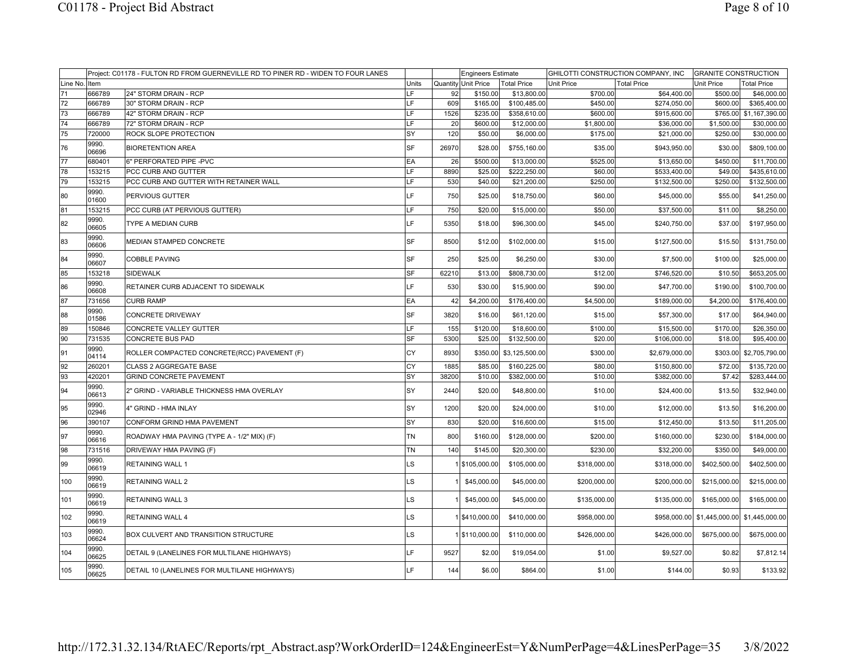|               |                | Project: C01178 - FULTON RD FROM GUERNEVILLE RD TO PINER RD - WIDEN TO FOUR LANES |           |       | <b>Engineers Estimate</b> |                    |                   | GHILOTTI CONSTRUCTION COMPANY, INC | <b>GRANITE CONSTRUCTION</b>                |                         |
|---------------|----------------|-----------------------------------------------------------------------------------|-----------|-------|---------------------------|--------------------|-------------------|------------------------------------|--------------------------------------------|-------------------------|
| Line No. Item |                |                                                                                   | Units     |       | Quantity Unit Price       | <b>Total Price</b> | <b>Unit Price</b> | <b>Total Price</b>                 | <b>Unit Price</b>                          | Total Price             |
| 71            | 666789         | 24" STORM DRAIN - RCP                                                             | LF.       | 92    | \$150.00                  | \$13,800.00        | \$700.00          | \$64,400.00                        | \$500.00                                   | \$46,000.00             |
| 72            | 666789         | 30" STORM DRAIN - RCP                                                             | LF        | 609   | \$165.00                  | \$100,485.00       | \$450.00          | \$274,050.00                       | \$600.00                                   | \$365,400.00            |
| 73            | 666789         | 42" STORM DRAIN - RCP                                                             | LF        | 1526  | \$235.00                  | \$358,610.00       | \$600.00          | \$915,600.00                       |                                            | \$765.00 \$1,167,390.00 |
| 74            | 666789         | 72" STORM DRAIN - RCP                                                             | LF        | 20    | \$600.00                  | \$12,000.00        | \$1,800.00        | \$36,000.00                        | \$1,500.00                                 | \$30,000.00             |
| 75            | 720000         | ROCK SLOPE PROTECTION                                                             | SY        | 120   | \$50.00                   | \$6,000.00         | \$175.00          | \$21,000.00                        | \$250.00                                   | \$30,000.00             |
| 76            | 9990.<br>06696 | <b>BIORETENTION AREA</b>                                                          | SF        | 26970 | \$28.00                   | \$755,160.00       | \$35.00           | \$943,950.00                       | \$30.00                                    | \$809,100.00            |
| 77            | 680401         | 6" PERFORATED PIPE -PVC                                                           | EA        | 26    | \$500.00                  | \$13,000.00        | \$525.00          | \$13,650.00                        | \$450.00                                   | \$11,700.00             |
| 78            | 153215         | PCC CURB AND GUTTER                                                               | LF.       | 8890  | \$25.00                   | \$222,250.00       | \$60.00           | \$533,400.00                       | \$49.00                                    | \$435,610.00            |
| 79            | 153215         | PCC CURB AND GUTTER WITH RETAINER WALL                                            | LF.       | 530   | \$40.00                   | \$21,200.00        | \$250.00          | \$132,500.00                       | \$250.00                                   | \$132,500.00            |
| 80            | 9990.<br>01600 | PERVIOUS GUTTER                                                                   | LF        | 750   | \$25.00                   | \$18,750.00        | \$60.00           | \$45,000.00                        | \$55.00                                    | \$41,250.00             |
| 81            | 153215         | PCC CURB (AT PERVIOUS GUTTER)                                                     | LF.       | 750   | \$20.00                   | \$15,000.00        | \$50.00           | \$37,500.00                        | \$11.00                                    | \$8,250.00              |
| 82            | 9990.<br>06605 | TYPE A MEDIAN CURB                                                                | LF        | 5350  | \$18.00                   | \$96,300.00        | \$45.00           | \$240,750.00                       | \$37.00                                    | \$197,950.00            |
| 83            | 9990.<br>06606 | MEDIAN STAMPED CONCRETE                                                           | SF        | 8500  | \$12.00                   | \$102,000.00       | \$15.00           | \$127,500.00                       | \$15.50                                    | \$131,750.00            |
| 84            | 9990.<br>06607 | COBBLE PAVING                                                                     | lsF       | 250   | \$25.00                   | \$6,250.00         | \$30.00           | \$7,500.00                         | \$100.00                                   | \$25,000.00             |
| 85            | 153218         | <b>SIDEWALK</b>                                                                   | <b>SF</b> | 62210 | \$13.00                   | \$808,730.00       | \$12.00           | \$746,520.00                       | \$10.50                                    | \$653,205.00            |
| 86            | 9990.<br>06608 | RETAINER CURB ADJACENT TO SIDEWALK                                                | LF        | 530   | \$30.00                   | \$15,900.00        | \$90.00           | \$47,700.00                        | \$190.00                                   | \$100,700.00            |
| 87            | 731656         | <b>CURB RAMP</b>                                                                  | EA        | 42    | \$4,200.00                | \$176,400.00       | \$4,500.00        | \$189,000.00                       | \$4,200.00                                 | \$176,400.00            |
| 88            | 9990.<br>01586 | CONCRETE DRIVEWAY                                                                 | SF        | 3820  | \$16.00                   | \$61,120.00        | \$15.00           | \$57,300.00                        | \$17.00                                    | \$64,940.00             |
| 89            | 150846         | CONCRETE VALLEY GUTTER                                                            | LF        | 155   | \$120.00                  | \$18,600.00        | \$100.00          | \$15,500.00                        | \$170.00                                   | \$26,350.00             |
| 90            | 731535         | <b>CONCRETE BUS PAD</b>                                                           | SF        | 5300  | \$25.00                   | \$132,500.00       | \$20.00           | \$106,000.00                       | \$18.00                                    | \$95,400.00             |
| 91            | 9990.<br>04114 | ROLLER COMPACTED CONCRETE(RCC) PAVEMENT (F)                                       | CY        | 8930  | \$350.00                  | \$3,125,500.00     | \$300.00          | \$2,679,000.00                     | \$303.00                                   | \$2,705,790.00          |
| 92            | 260201         | CLASS 2 AGGREGATE BASE                                                            | CY        | 1885  | \$85.00                   | \$160,225.00       | \$80.00           | \$150,800.00                       | \$72.00                                    | \$135,720.00            |
| 93            | 420201         | <b>GRIND CONCRETE PAVEMENT</b>                                                    | SY        | 38200 | \$10.00                   | \$382,000.00       | \$10.00           | \$382,000.00                       | \$7.42                                     | \$283,444.00            |
| 94            | 9990.<br>06613 | 2" GRIND - VARIABLE THICKNESS HMA OVERLAY                                         | SY        | 2440  | \$20.00                   | \$48,800.00        | \$10.00           | \$24,400.00                        | \$13.50                                    | \$32,940.00             |
| 95            | 9990.<br>02946 | 4" GRIND - HMA INLAY                                                              | SY        | 1200  | \$20.00                   | \$24,000.00        | \$10.00           | \$12,000.00                        | \$13.50                                    | \$16,200.00             |
| 96            | 390107         | CONFORM GRIND HMA PAVEMENT                                                        | SY        | 830   | \$20.00                   | \$16,600.00        | \$15.00           | \$12,450.00                        | \$13.50                                    | \$11,205.00             |
| 97            | 9990.<br>06616 | ROADWAY HMA PAVING (TYPE A - 1/2" MIX) (F)                                        | <b>TN</b> | 800   | \$160.00                  | \$128,000.00       | \$200.00          | \$160,000.00                       | \$230.00                                   | \$184,000.00            |
| 98            | 731516         | DRIVEWAY HMA PAVING (F)                                                           | <b>TN</b> | 140   | \$145.00                  | \$20,300.00        | \$230.00          | \$32,200.00                        | \$350.00                                   | \$49,000.00             |
| 99            | 9990.<br>06619 | <b>RETAINING WALL 1</b>                                                           | LS        |       | 1 \$105,000.00            | \$105,000.00       | \$318,000.00      | \$318,000.00                       | \$402,500.00                               | \$402,500.00            |
| 100           | 9990.<br>06619 | <b>RETAINING WALL 2</b>                                                           | LS        |       | \$45,000.00               | \$45,000.00        | \$200,000.00      | \$200,000.00                       | \$215,000.00                               | \$215,000.00            |
| 101           | 9990.<br>06619 | <b>RETAINING WALL 3</b>                                                           | LS        |       | \$45,000.00               | \$45,000.00        | \$135,000.00      | \$135,000.00                       | \$165,000.00                               | \$165,000.00            |
| 102           | 9990.<br>06619 | <b>RETAINING WALL 4</b>                                                           | LS        |       | 1 \$410,000.00            | \$410,000.00       | \$958,000.00      |                                    | \$958,000.00 \$1,445,000.00 \$1,445,000.00 |                         |
| 103           | 9990.<br>06624 | BOX CULVERT AND TRANSITION STRUCTURE                                              | LS        |       | 1 \$110,000.00            | \$110,000.00       | \$426,000.00      | \$426,000.00                       | \$675,000.00                               | \$675,000.00            |
| 104           | 9990.<br>06625 | DETAIL 9 (LANELINES FOR MULTILANE HIGHWAYS)                                       | LF        | 9527  | \$2.00                    | \$19,054.00        | \$1.00            | \$9,527.00                         | \$0.82                                     | \$7,812.14              |
| 105           | 9990.<br>06625 | DETAIL 10 (LANELINES FOR MULTILANE HIGHWAYS)                                      | LF        | 144   | \$6.00                    | \$864.00           | \$1.00            | \$144.00                           | \$0.93                                     | \$133.92                |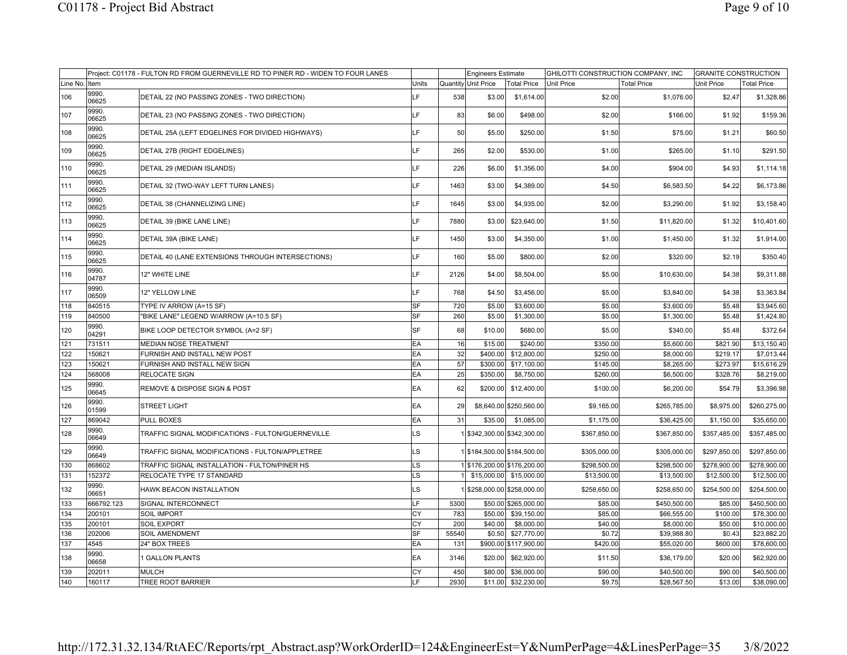|          |                | Project: C01178 - FULTON RD FROM GUERNEVILLE RD TO PINER RD - WIDEN TO FOUR LANES |           |       | <b>Engineers Estimate</b>   |                         | GHILOTTI CONSTRUCTION COMPANY, INC |                    | <b>GRANITE CONSTRUCTION</b> |                    |
|----------|----------------|-----------------------------------------------------------------------------------|-----------|-------|-----------------------------|-------------------------|------------------------------------|--------------------|-----------------------------|--------------------|
| Line No. | Item           |                                                                                   | Units     |       | Quantity Unit Price         | <b>Total Price</b>      | <b>Unit Price</b>                  | <b>Total Price</b> | <b>Unit Price</b>           | <b>Total Price</b> |
| 106      | 9990.<br>06625 | DETAIL 22 (NO PASSING ZONES - TWO DIRECTION)                                      | LF        | 538   | \$3.00                      | \$1,614.00              | \$2.00                             | \$1,076.00         | \$2.47                      | \$1,328.86         |
| 107      | 9990.<br>06625 | DETAIL 23 (NO PASSING ZONES - TWO DIRECTION)                                      | IF.       | 83    | \$6.00                      | \$498.00                | \$2.00                             | \$166.00           | \$1.92                      | \$159.36           |
| 108      | 9990.<br>06625 | DETAIL 25A (LEFT EDGELINES FOR DIVIDED HIGHWAYS)                                  | LF        | 50    | \$5.00                      | \$250.00                | \$1.50                             | \$75.00            | \$1.21                      | \$60.50            |
| 109      | 9990.<br>06625 | DETAIL 27B (RIGHT EDGELINES)                                                      | LF        | 265   | \$2.00                      | \$530.00                | \$1.00                             | \$265.00           | \$1.10                      | \$291.50           |
| 110      | 9990.<br>06625 | DETAIL 29 (MEDIAN ISLANDS)                                                        | LF        | 226   | \$6.00                      | \$1,356.00              | \$4.00                             | \$904.00           | \$4.93                      | \$1,114.18         |
| 111      | 9990.<br>06625 | DETAIL 32 (TWO-WAY LEFT TURN LANES)                                               | LF        | 1463  | \$3.00                      | \$4,389.00              | \$4.50                             | \$6,583.50         | \$4.22                      | \$6,173.86         |
| 112      | 9990.<br>06625 | DETAIL 38 (CHANNELIZING LINE)                                                     | IF.       | 1645  | \$3.00                      | \$4,935.00              | \$2.00                             | \$3,290.00         | \$1.92                      | \$3,158.40         |
| 113      | 9990.<br>06625 | DETAIL 39 (BIKE LANE LINE)                                                        | LF        | 7880  | \$3.00                      | \$23,640.00             | \$1.50                             | \$11,820.00        | \$1.32                      | \$10,401.60        |
| 114      | 9990.<br>06625 | DETAIL 39A (BIKE LANE)                                                            | LF        | 1450  | \$3.00                      | \$4,350.00              | \$1.00                             | \$1,450.00         | \$1.32                      | \$1,914.00         |
| 115      | 9990.<br>06625 | DETAIL 40 (LANE EXTENSIONS THROUGH INTERSECTIONS)                                 | LF        | 160   | \$5.00                      | \$800.00                | \$2.00                             | \$320.00           | \$2.19                      | \$350.40           |
| 116      | 9990.<br>04787 | 12" WHITE LINE                                                                    | F.        | 2126  | \$4.00                      | \$8,504.00              | \$5.00                             | \$10,630.00        | \$4.38                      | \$9,311.88         |
| 117      | 9990.<br>06509 | 12" YELLOW LINE                                                                   | LF        | 768   | \$4.50                      | \$3,456.00              | \$5.00                             | \$3,840.00         | \$4.38                      | \$3,363.84         |
| 118      | 840515         | TYPE IV ARROW (A=15 SF)                                                           | SF        | 720   | \$5.00                      | \$3,600.00              | \$5.00                             | \$3,600.00         | \$5.48                      | \$3,945.60         |
| 119      | 840500         | "BIKE LANE" LEGEND W/ARROW (A=10.5 SF)                                            | SF        | 260   | \$5.00                      | \$1,300.00              | \$5.00                             | \$1,300.00         | \$5.48                      | \$1,424.80         |
| 120      | 9990.<br>04291 | BIKE LOOP DETECTOR SYMBOL (A=2 SF)                                                | SF        | 68    | \$10.00                     | \$680.00                | \$5.00                             | \$340.00           | \$5.48                      | \$372.64           |
| 121      | 731511         | <b>MEDIAN NOSE TREATMENT</b>                                                      | EA        | 16    | \$15.00                     | \$240.00                | \$350.00                           | \$5,600.00         | \$821.90                    | \$13,150.40        |
| 122      | 150621         | FURNISH AND INSTALL NEW POST                                                      | EA        | 32    |                             | \$400.00 \$12,800.00    | \$250.00                           | \$8,000.00         | \$219.17                    | \$7,013.44         |
| 123      | 150621         | <b>FURNISH AND INSTALL NEW SIGN</b>                                               | EA        | 57    | \$300.00                    | \$17,100.00             | \$145.00                           | \$8,265.00         | \$273.97                    | \$15,616.29        |
| 124      | 568008         | <b>RELOCATE SIGN</b>                                                              | EA        | 25    | \$350.00                    | \$8,750.00              | \$260.00                           | \$6,500.00         | \$328.76                    | \$8,219.00         |
| 125      | 9990.<br>06645 | <b>REMOVE &amp; DISPOSE SIGN &amp; POST</b>                                       | EA        | 62    | \$200.00                    | \$12,400.00             | \$100.00                           | \$6,200.00         | \$54.79                     | \$3,396.98         |
| 126      | 9990.<br>01599 | <b>STREET LIGHT</b>                                                               | EA        | 29    |                             | \$8,640.00 \$250,560.00 | \$9,165.00                         | \$265,785.00       | \$8,975.00                  | \$260,275.00       |
| 127      | 869042         | <b>PULL BOXES</b>                                                                 | EA        | 31    | \$35.00                     | \$1,085.00              | \$1,175.00                         | \$36,425.00        | \$1,150.00                  | \$35,650.00        |
| 128      | 9990.<br>06649 | TRAFFIC SIGNAL MODIFICATIONS - FULTON/GUERNEVILLE                                 | LS        |       | 1 \$342,300.00 \$342,300.00 |                         | \$367,850.00                       | \$367,850.00       | \$357,485.00                | \$357,485.00       |
| 129      | 9990.<br>06649 | TRAFFIC SIGNAL MODIFICATIONS - FULTON/APPLETREE                                   | LS        |       | \$184,500.00 \$184,500.00   |                         | \$305,000.00                       | \$305,000.00       | \$297,850.00                | \$297,850.00       |
| 130      | 868602         | TRAFFIC SIGNAL INSTALLATION - FULTON/PINER HS                                     | LS        |       | 1 \$176,200.00 \$176,200.00 |                         | \$298,500.00                       | \$298,500.00       | \$278,900.00                | \$278,900.00       |
| 131      | 152372         | RELOCATE TYPE 17 STANDARD                                                         | LS        |       |                             | \$15,000.00 \$15,000.00 | \$13,500.00                        | \$13,500.00        | \$12,500.00                 | \$12,500.00        |
| 132      | 9990.<br>06651 | <b>HAWK BEACON INSTALLATION</b>                                                   | LS        |       | 1 \$258,000.00 \$258,000.00 |                         | \$258,650.00                       | \$258,650.00       | \$254,500.00                | \$254,500.00       |
| 133      | 666792.123     | <b>SIGNAL INTERCONNECT</b>                                                        | LF        | 5300  |                             | \$50.00 \$265,000.00    | \$85.00                            | \$450,500.00       | \$85.00                     | \$450,500.00       |
| 134      | 200101         | <b>SOIL IMPORT</b>                                                                | СY        | 783   | \$50.00                     | \$39,150.00             | \$85.00                            | \$66,555.00        | \$100.00                    | \$78,300.00        |
| 135      | 200101         | <b>SOIL EXPORT</b>                                                                | CY        | 200   | \$40.00                     | \$8,000.00              | \$40.00                            | \$8,000.00         | \$50.00                     | \$10,000.00        |
| 136      | 202006         | <b>SOIL AMENDMENT</b>                                                             | <b>SF</b> | 55540 | \$0.50                      | \$27,770.00             | \$0.72                             | \$39,988.80        | \$0.43                      | \$23,882.20        |
| 137      | 4545           | 24" BOX TREES                                                                     | EA        | 131   |                             | \$900.00 \$117,900.00   | \$420.00                           | \$55,020.00        | \$600.00                    | \$78,600.00        |
| 138      | 9990.<br>06658 | 1 GALLON PLANTS                                                                   | EA        | 3146  | \$20.00                     | \$62,920.00             | \$11.50                            | \$36,179.00        | \$20.00                     | \$62,920.00        |
| 139      | 202011         | MULCH                                                                             | СY        | 450   | \$80.00                     | \$36,000.00             | \$90.00                            | \$40,500.00        | \$90.00                     | \$40,500.00        |
| 140      | 160117         | <b>TREE ROOT BARRIER</b>                                                          | LF        | 2930  |                             | $$11.00$ $$32,230.00$   | \$9.75                             | \$28,567.50        | \$13.00                     | \$38,090.00        |